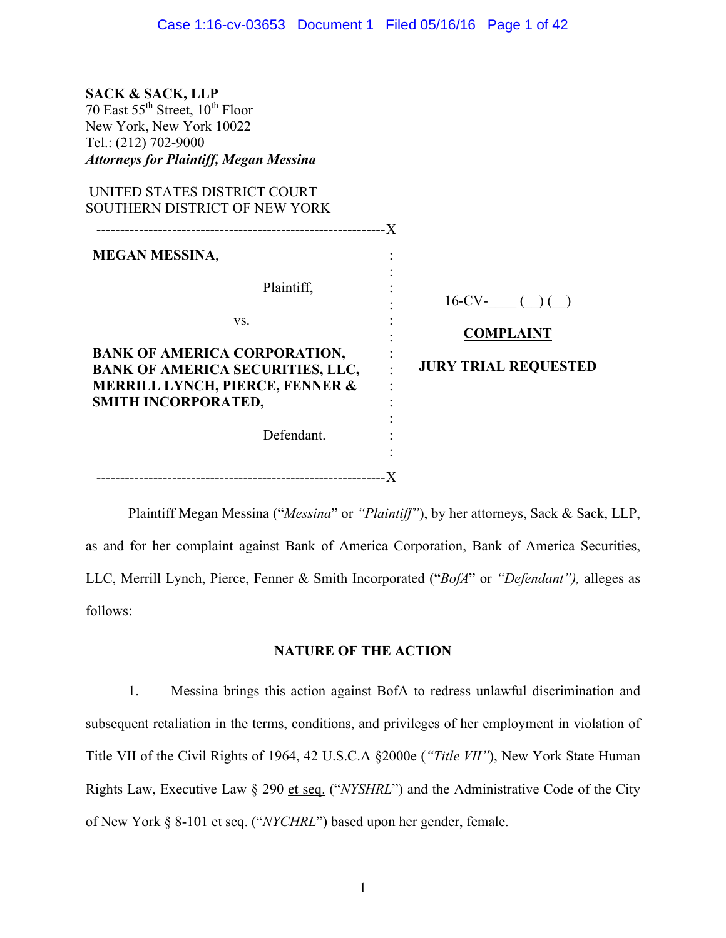| <b>SACK &amp; SACK, LLP</b><br>70 East $55^{th}$ Street, $10^{th}$ Floor<br>New York, New York 10022<br>Tel.: (212) 702-9000<br><b>Attorneys for Plaintiff, Megan Messina</b> |                                         |
|-------------------------------------------------------------------------------------------------------------------------------------------------------------------------------|-----------------------------------------|
| UNITED STATES DISTRICT COURT<br>SOUTHERN DISTRICT OF NEW YORK                                                                                                                 |                                         |
| <b>MEGAN MESSINA,</b><br>Plaintiff,                                                                                                                                           |                                         |
| VS.                                                                                                                                                                           | $16$ -CV- $( ) ( )$<br><b>COMPLAINT</b> |
| <b>BANK OF AMERICA CORPORATION,</b><br><b>BANK OF AMERICA SECURITIES, LLC,</b><br><b>MERRILL LYNCH, PIERCE, FENNER &amp;</b><br>SMITH INCORPORATED,                           | <b>JURY TRIAL REQUESTED</b>             |
| Defendant.                                                                                                                                                                    |                                         |

-------------------------------------------------------------X

Plaintiff Megan Messina ("*Messina*" or *"Plaintiff"*), by her attorneys, Sack & Sack, LLP, as and for her complaint against Bank of America Corporation, Bank of America Securities, LLC, Merrill Lynch, Pierce, Fenner & Smith Incorporated ("*BofA*" or *"Defendant"),* alleges as follows:

## **NATURE OF THE ACTION**

1. Messina brings this action against BofA to redress unlawful discrimination and subsequent retaliation in the terms, conditions, and privileges of her employment in violation of Title VII of the Civil Rights of 1964, 42 U.S.C.A §2000e (*"Title VII"*), New York State Human Rights Law, Executive Law § 290 et seq. ("*NYSHRL*") and the Administrative Code of the City of New York § 8-101 et seq. ("*NYCHRL*") based upon her gender, female.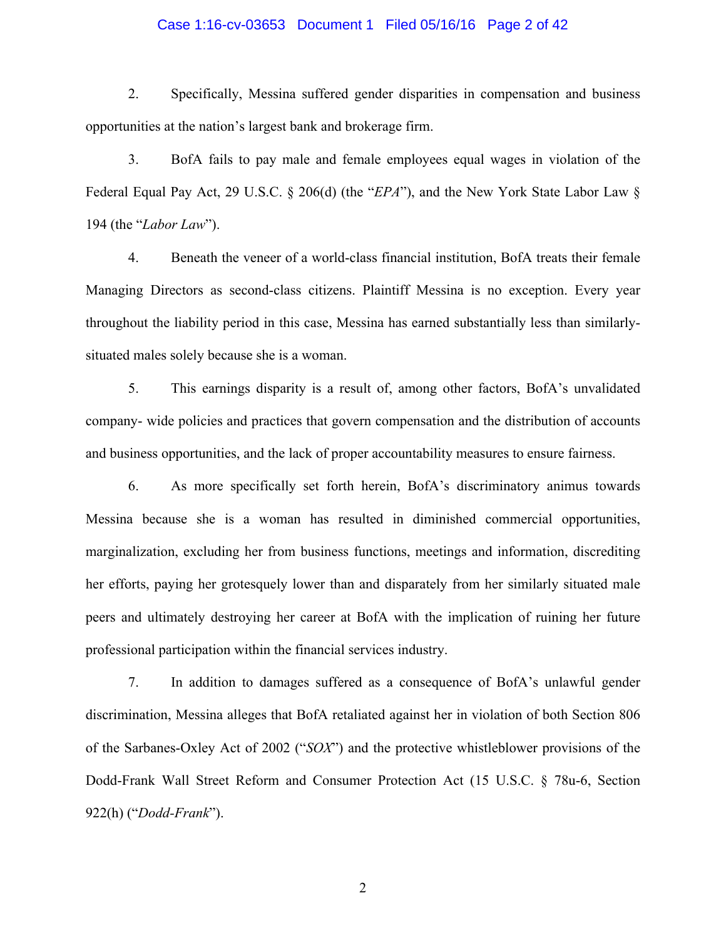### Case 1:16-cv-03653 Document 1 Filed 05/16/16 Page 2 of 42

2. Specifically, Messina suffered gender disparities in compensation and business opportunities at the nation's largest bank and brokerage firm.

3. BofA fails to pay male and female employees equal wages in violation of the Federal Equal Pay Act, 29 U.S.C. § 206(d) (the "*EPA*"), and the New York State Labor Law § 194 (the "*Labor Law*").

4. Beneath the veneer of a world-class financial institution, BofA treats their female Managing Directors as second-class citizens. Plaintiff Messina is no exception. Every year throughout the liability period in this case, Messina has earned substantially less than similarlysituated males solely because she is a woman.

5. This earnings disparity is a result of, among other factors, BofA's unvalidated company- wide policies and practices that govern compensation and the distribution of accounts and business opportunities, and the lack of proper accountability measures to ensure fairness.

6. As more specifically set forth herein, BofA's discriminatory animus towards Messina because she is a woman has resulted in diminished commercial opportunities, marginalization, excluding her from business functions, meetings and information, discrediting her efforts, paying her grotesquely lower than and disparately from her similarly situated male peers and ultimately destroying her career at BofA with the implication of ruining her future professional participation within the financial services industry.

7. In addition to damages suffered as a consequence of BofA's unlawful gender discrimination, Messina alleges that BofA retaliated against her in violation of both Section 806 of the Sarbanes-Oxley Act of 2002 ("*SOX*") and the protective whistleblower provisions of the Dodd-Frank Wall Street Reform and Consumer Protection Act (15 U.S.C. § 78u-6, Section 922(h) ("*Dodd-Frank*").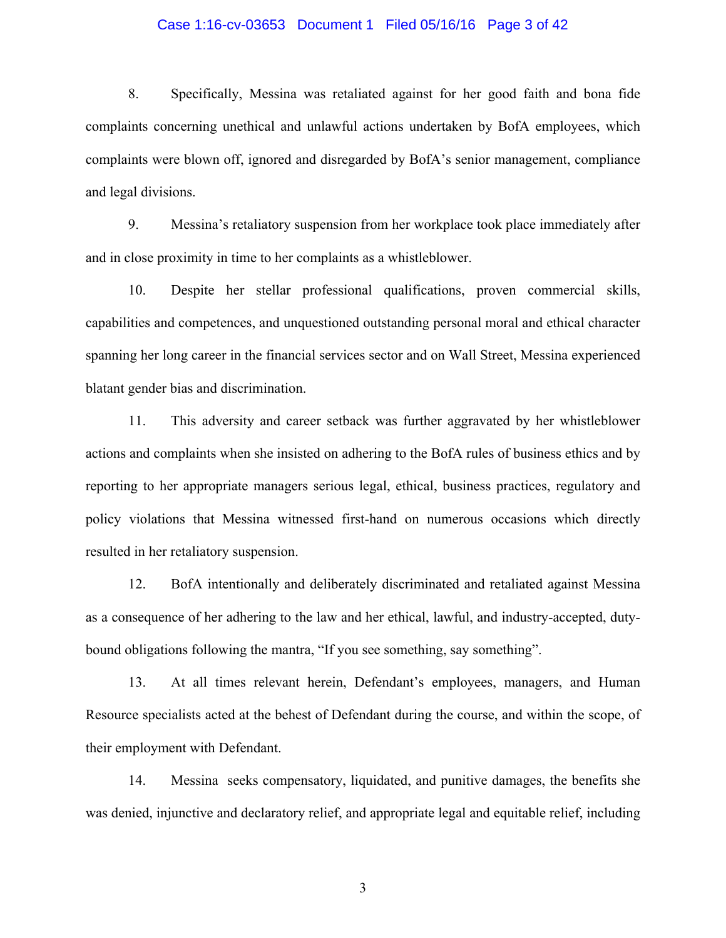### Case 1:16-cv-03653 Document 1 Filed 05/16/16 Page 3 of 42

8. Specifically, Messina was retaliated against for her good faith and bona fide complaints concerning unethical and unlawful actions undertaken by BofA employees, which complaints were blown off, ignored and disregarded by BofA's senior management, compliance and legal divisions.

9. Messina's retaliatory suspension from her workplace took place immediately after and in close proximity in time to her complaints as a whistleblower.

10. Despite her stellar professional qualifications, proven commercial skills, capabilities and competences, and unquestioned outstanding personal moral and ethical character spanning her long career in the financial services sector and on Wall Street, Messina experienced blatant gender bias and discrimination.

11. This adversity and career setback was further aggravated by her whistleblower actions and complaints when she insisted on adhering to the BofA rules of business ethics and by reporting to her appropriate managers serious legal, ethical, business practices, regulatory and policy violations that Messina witnessed first-hand on numerous occasions which directly resulted in her retaliatory suspension.

12. BofA intentionally and deliberately discriminated and retaliated against Messina as a consequence of her adhering to the law and her ethical, lawful, and industry-accepted, dutybound obligations following the mantra, "If you see something, say something".

13. At all times relevant herein, Defendant's employees, managers, and Human Resource specialists acted at the behest of Defendant during the course, and within the scope, of their employment with Defendant.

14. Messina seeks compensatory, liquidated, and punitive damages, the benefits she was denied, injunctive and declaratory relief, and appropriate legal and equitable relief, including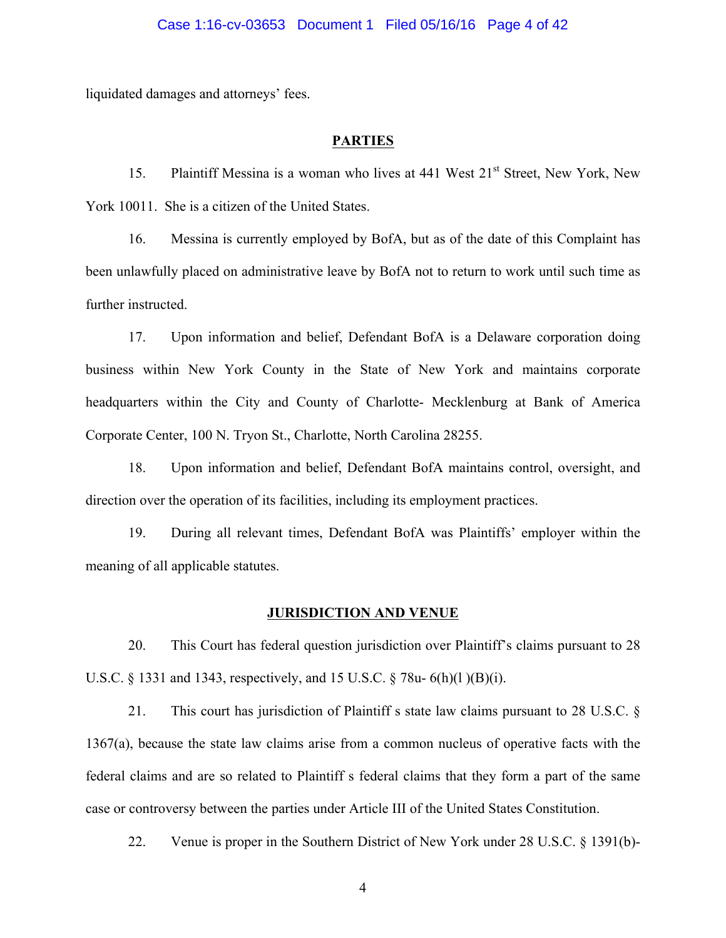liquidated damages and attorneys' fees.

### **PARTIES**

15. Plaintiff Messina is a woman who lives at 441 West 21<sup>st</sup> Street, New York, New York 10011. She is a citizen of the United States.

16. Messina is currently employed by BofA, but as of the date of this Complaint has been unlawfully placed on administrative leave by BofA not to return to work until such time as further instructed.

17. Upon information and belief, Defendant BofA is a Delaware corporation doing business within New York County in the State of New York and maintains corporate headquarters within the City and County of Charlotte- Mecklenburg at Bank of America Corporate Center, 100 N. Tryon St., Charlotte, North Carolina 28255.

18. Upon information and belief, Defendant BofA maintains control, oversight, and direction over the operation of its facilities, including its employment practices.

19. During all relevant times, Defendant BofA was Plaintiffs' employer within the meaning of all applicable statutes.

### **JURISDICTION AND VENUE**

20. This Court has federal question jurisdiction over Plaintiff's claims pursuant to 28 U.S.C. § 1331 and 1343, respectively, and 15 U.S.C. § 78u- 6(h)(l )(B)(i).

21. This court has jurisdiction of Plaintiff s state law claims pursuant to 28 U.S.C. § 1367(a), because the state law claims arise from a common nucleus of operative facts with the federal claims and are so related to Plaintiff s federal claims that they form a part of the same case or controversy between the parties under Article III of the United States Constitution.

22. Venue is proper in the Southern District of New York under 28 U.S.C. § 1391(b)-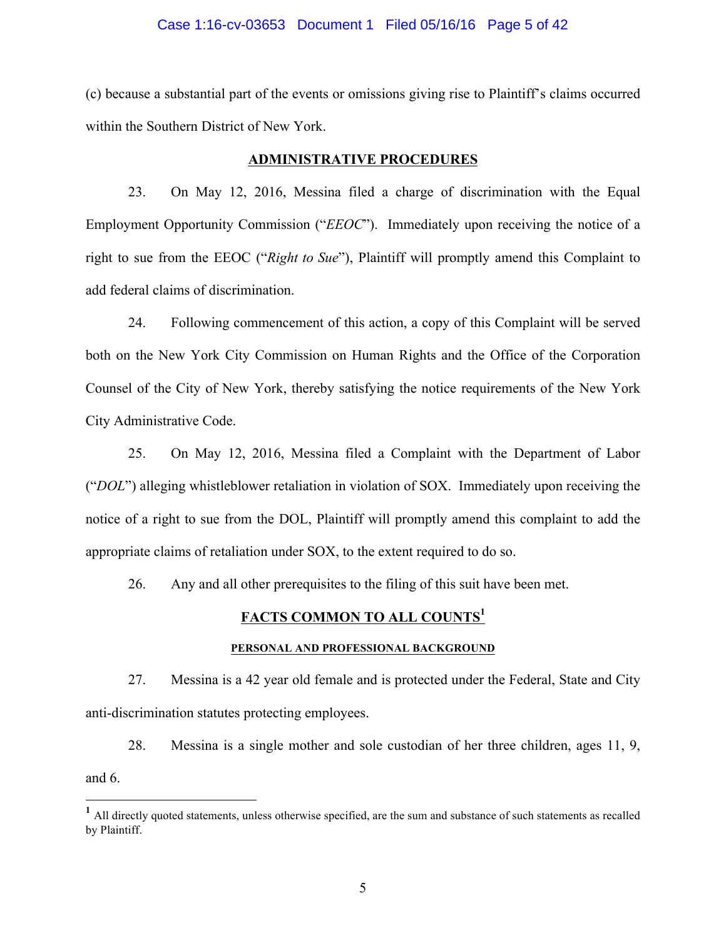### Case 1:16-cv-03653 Document 1 Filed 05/16/16 Page 5 of 42

(c) because a substantial part of the events or omissions giving rise to Plaintiff's claims occurred within the Southern District of New York.

### **ADMINISTRATIVE PROCEDURES**

23. On May 12, 2016, Messina filed a charge of discrimination with the Equal Employment Opportunity Commission ("*EEOC*"). Immediately upon receiving the notice of a right to sue from the EEOC ("*Right to Sue*"), Plaintiff will promptly amend this Complaint to add federal claims of discrimination.

24. Following commencement of this action, a copy of this Complaint will be served both on the New York City Commission on Human Rights and the Office of the Corporation Counsel of the City of New York, thereby satisfying the notice requirements of the New York City Administrative Code.

25. On May 12, 2016, Messina filed a Complaint with the Department of Labor ("*DOL*") alleging whistleblower retaliation in violation of SOX. Immediately upon receiving the notice of a right to sue from the DOL, Plaintiff will promptly amend this complaint to add the appropriate claims of retaliation under SOX, to the extent required to do so.

26. Any and all other prerequisites to the filing of this suit have been met.

## **FACTS COMMON TO ALL COUNTS<sup>1</sup>**

### **PERSONAL AND PROFESSIONAL BACKGROUND**

27. Messina is a 42 year old female and is protected under the Federal, State and City anti-discrimination statutes protecting employees.

28. Messina is a single mother and sole custodian of her three children, ages 11, 9, and 6.

<sup>&</sup>lt;sup>1</sup> All directly quoted statements, unless otherwise specified, are the sum and substance of such statements as recalled by Plaintiff.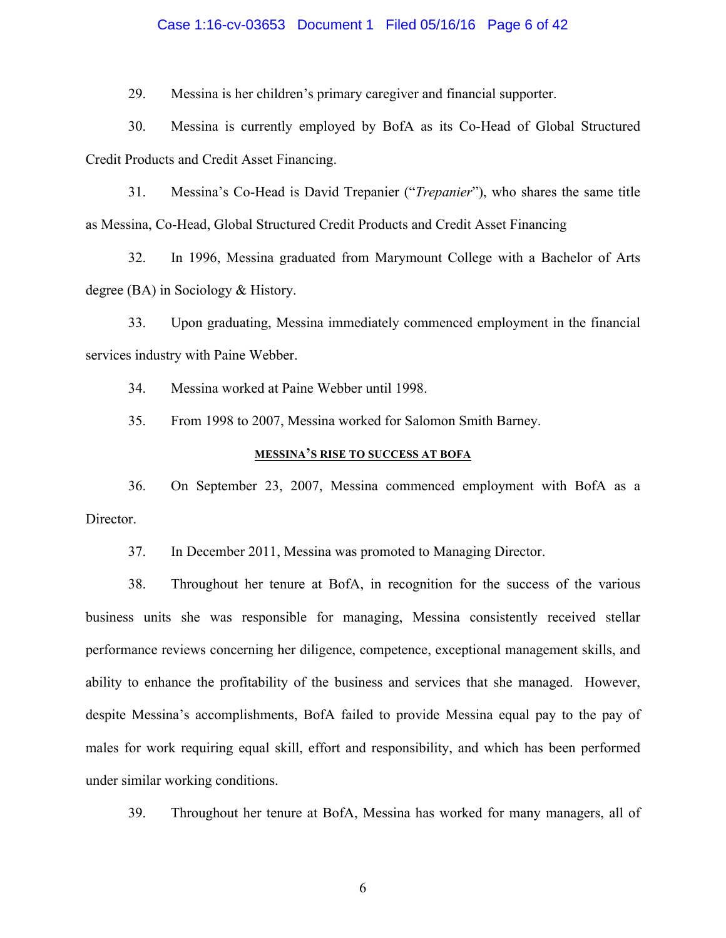### Case 1:16-cv-03653 Document 1 Filed 05/16/16 Page 6 of 42

29. Messina is her children's primary caregiver and financial supporter.

30. Messina is currently employed by BofA as its Co-Head of Global Structured Credit Products and Credit Asset Financing.

31. Messina's Co-Head is David Trepanier ("*Trepanier*"), who shares the same title as Messina, Co-Head, Global Structured Credit Products and Credit Asset Financing

32. In 1996, Messina graduated from Marymount College with a Bachelor of Arts degree (BA) in Sociology & History.

33. Upon graduating, Messina immediately commenced employment in the financial services industry with Paine Webber.

34. Messina worked at Paine Webber until 1998.

35. From 1998 to 2007, Messina worked for Salomon Smith Barney.

### **MESSINA'S RISE TO SUCCESS AT BOFA**

36. On September 23, 2007, Messina commenced employment with BofA as a Director.

37. In December 2011, Messina was promoted to Managing Director.

38. Throughout her tenure at BofA, in recognition for the success of the various business units she was responsible for managing, Messina consistently received stellar performance reviews concerning her diligence, competence, exceptional management skills, and ability to enhance the profitability of the business and services that she managed. However, despite Messina's accomplishments, BofA failed to provide Messina equal pay to the pay of males for work requiring equal skill, effort and responsibility, and which has been performed under similar working conditions.

39. Throughout her tenure at BofA, Messina has worked for many managers, all of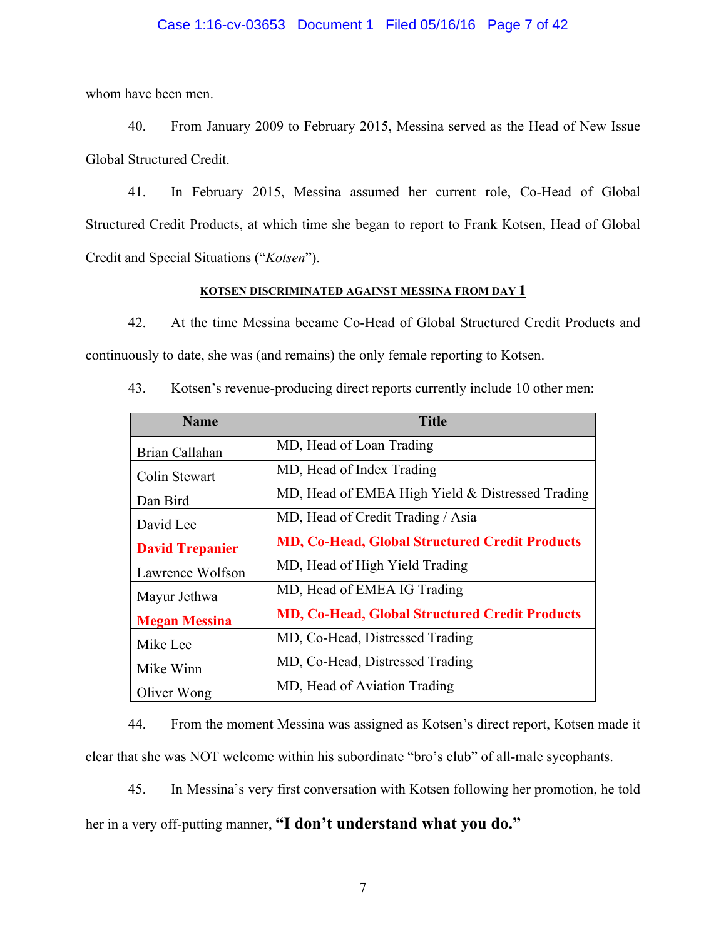### Case 1:16-cv-03653 Document 1 Filed 05/16/16 Page 7 of 42

whom have been men.

40. From January 2009 to February 2015, Messina served as the Head of New Issue Global Structured Credit.

41. In February 2015, Messina assumed her current role, Co-Head of Global Structured Credit Products, at which time she began to report to Frank Kotsen, Head of Global Credit and Special Situations ("*Kotsen*").

### **KOTSEN DISCRIMINATED AGAINST MESSINA FROM DAY 1**

42. At the time Messina became Co-Head of Global Structured Credit Products and continuously to date, she was (and remains) the only female reporting to Kotsen.

| <b>Name</b>            | <b>Title</b>                                          |  |
|------------------------|-------------------------------------------------------|--|
| Brian Callahan         | MD, Head of Loan Trading                              |  |
| Colin Stewart          | MD, Head of Index Trading                             |  |
| Dan Bird               | MD, Head of EMEA High Yield & Distressed Trading      |  |
| David Lee              | MD, Head of Credit Trading / Asia                     |  |
| <b>David Trepanier</b> | <b>MD, Co-Head, Global Structured Credit Products</b> |  |
| Lawrence Wolfson       | MD, Head of High Yield Trading                        |  |
| Mayur Jethwa           | MD, Head of EMEA IG Trading                           |  |
| <b>Megan Messina</b>   | <b>MD, Co-Head, Global Structured Credit Products</b> |  |
| Mike Lee               | MD, Co-Head, Distressed Trading                       |  |
| Mike Winn              | MD, Co-Head, Distressed Trading                       |  |
| Oliver Wong            | MD, Head of Aviation Trading                          |  |

43. Kotsen's revenue-producing direct reports currently include 10 other men:

44. From the moment Messina was assigned as Kotsen's direct report, Kotsen made it clear that she was NOT welcome within his subordinate "bro's club" of all-male sycophants.

45. In Messina's very first conversation with Kotsen following her promotion, he told her in a very off-putting manner, **"I don't understand what you do."**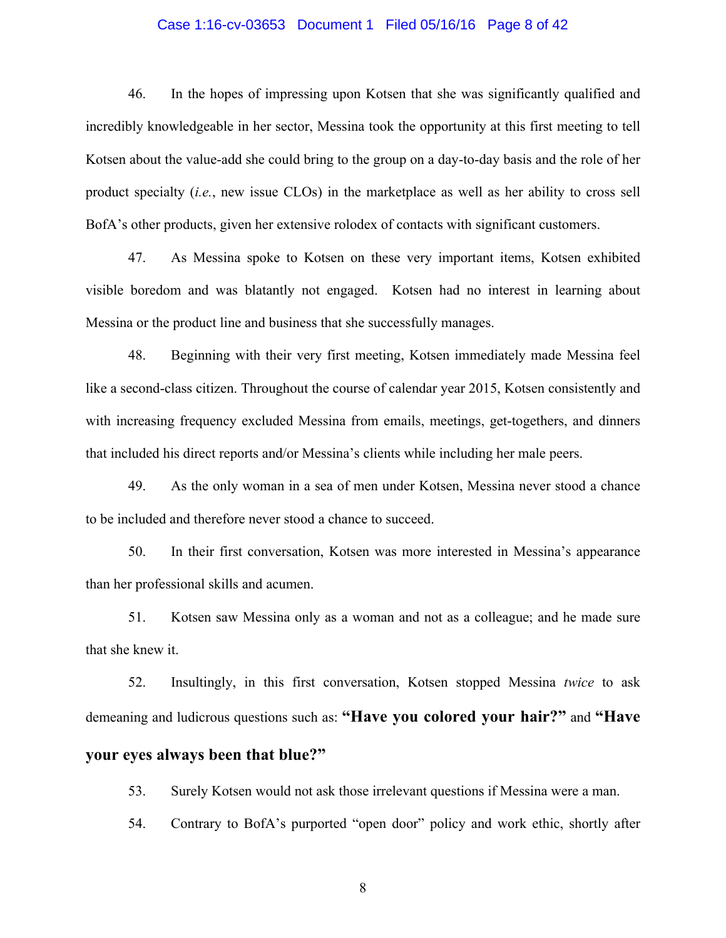### Case 1:16-cv-03653 Document 1 Filed 05/16/16 Page 8 of 42

46. In the hopes of impressing upon Kotsen that she was significantly qualified and incredibly knowledgeable in her sector, Messina took the opportunity at this first meeting to tell Kotsen about the value-add she could bring to the group on a day-to-day basis and the role of her product specialty (*i.e.*, new issue CLOs) in the marketplace as well as her ability to cross sell BofA's other products, given her extensive rolodex of contacts with significant customers.

47. As Messina spoke to Kotsen on these very important items, Kotsen exhibited visible boredom and was blatantly not engaged. Kotsen had no interest in learning about Messina or the product line and business that she successfully manages.

48. Beginning with their very first meeting, Kotsen immediately made Messina feel like a second-class citizen. Throughout the course of calendar year 2015, Kotsen consistently and with increasing frequency excluded Messina from emails, meetings, get-togethers, and dinners that included his direct reports and/or Messina's clients while including her male peers.

49. As the only woman in a sea of men under Kotsen, Messina never stood a chance to be included and therefore never stood a chance to succeed.

50. In their first conversation, Kotsen was more interested in Messina's appearance than her professional skills and acumen.

51. Kotsen saw Messina only as a woman and not as a colleague; and he made sure that she knew it.

52. Insultingly, in this first conversation, Kotsen stopped Messina *twice* to ask demeaning and ludicrous questions such as: **"Have you colored your hair?"** and **"Have** 

# **your eyes always been that blue?"**

53. Surely Kotsen would not ask those irrelevant questions if Messina were a man.

54. Contrary to BofA's purported "open door" policy and work ethic, shortly after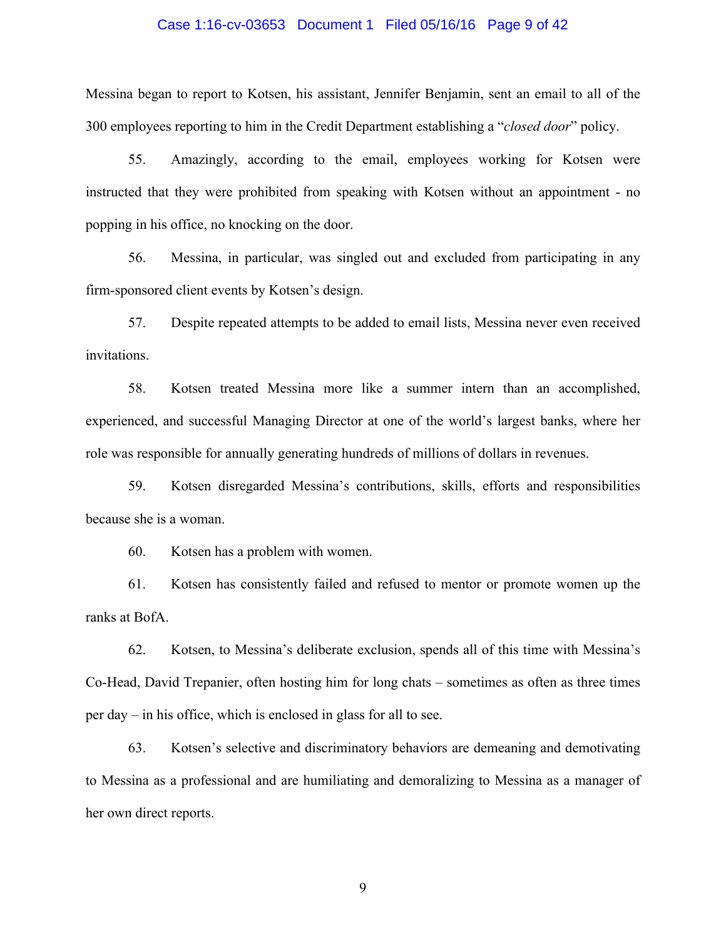### Case 1:16-cv-03653 Document 1 Filed 05/16/16 Page 9 of 42

Messina began to report to Kotsen, his assistant, Jennifer Benjamin, sent an email to all of the 300 employees reporting to him in the Credit Department establishing a "*closed door*" policy.

55. Amazingly, according to the email, employees working for Kotsen were instructed that they were prohibited from speaking with Kotsen without an appointment - no popping in his office, no knocking on the door.

56. Messina, in particular, was singled out and excluded from participating in any firm-sponsored client events by Kotsen's design.

57. Despite repeated attempts to be added to email lists, Messina never even received invitations.

58. Kotsen treated Messina more like a summer intern than an accomplished, experienced, and successful Managing Director at one of the world's largest banks, where her role was responsible for annually generating hundreds of millions of dollars in revenues.

59. Kotsen disregarded Messina's contributions, skills, efforts and responsibilities because she is a woman.

60. Kotsen has a problem with women.

61. Kotsen has consistently failed and refused to mentor or promote women up the ranks at BofA.

62. Kotsen, to Messina's deliberate exclusion, spends all of this time with Messina's Co-Head, David Trepanier, often hosting him for long chats – sometimes as often as three times per day – in his office, which is enclosed in glass for all to see.

63. Kotsen's selective and discriminatory behaviors are demeaning and demotivating to Messina as a professional and are humiliating and demoralizing to Messina as a manager of her own direct reports.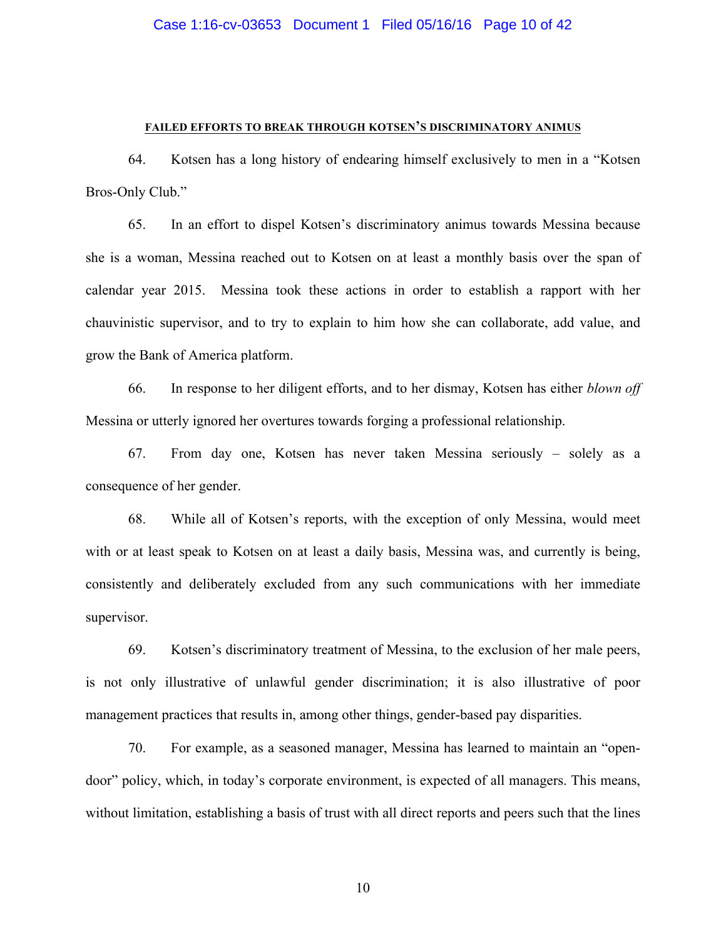#### **FAILED EFFORTS TO BREAK THROUGH KOTSEN'S DISCRIMINATORY ANIMUS**

64. Kotsen has a long history of endearing himself exclusively to men in a "Kotsen Bros-Only Club."

65. In an effort to dispel Kotsen's discriminatory animus towards Messina because she is a woman, Messina reached out to Kotsen on at least a monthly basis over the span of calendar year 2015. Messina took these actions in order to establish a rapport with her chauvinistic supervisor, and to try to explain to him how she can collaborate, add value, and grow the Bank of America platform.

66. In response to her diligent efforts, and to her dismay, Kotsen has either *blown off* Messina or utterly ignored her overtures towards forging a professional relationship.

67. From day one, Kotsen has never taken Messina seriously – solely as a consequence of her gender.

68. While all of Kotsen's reports, with the exception of only Messina, would meet with or at least speak to Kotsen on at least a daily basis, Messina was, and currently is being, consistently and deliberately excluded from any such communications with her immediate supervisor.

69. Kotsen's discriminatory treatment of Messina, to the exclusion of her male peers, is not only illustrative of unlawful gender discrimination; it is also illustrative of poor management practices that results in, among other things, gender-based pay disparities.

70. For example, as a seasoned manager, Messina has learned to maintain an "opendoor" policy, which, in today's corporate environment, is expected of all managers. This means, without limitation, establishing a basis of trust with all direct reports and peers such that the lines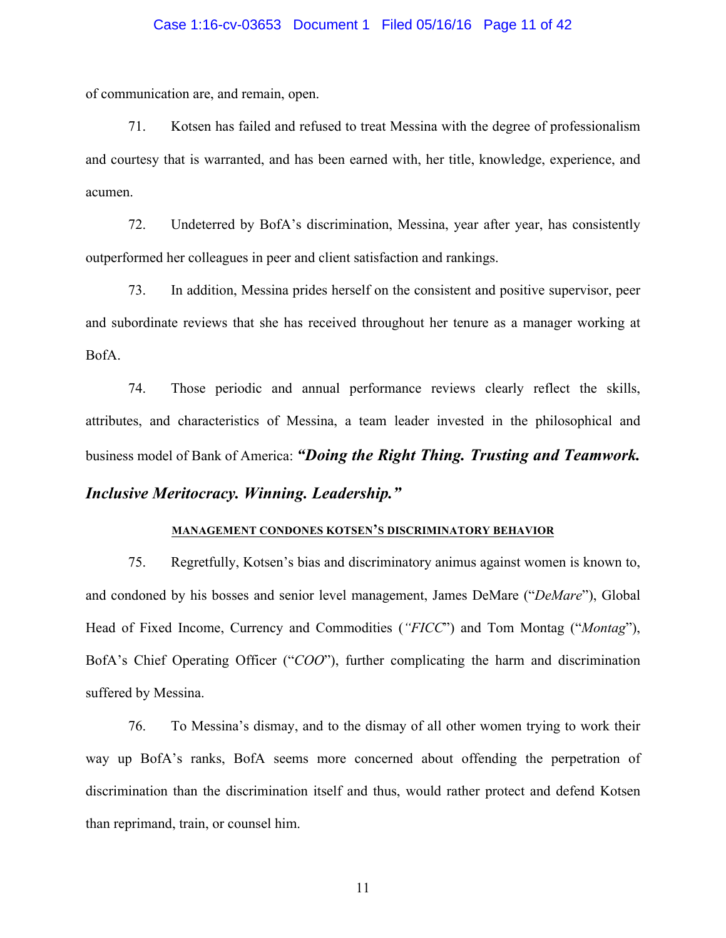### Case 1:16-cv-03653 Document 1 Filed 05/16/16 Page 11 of 42

of communication are, and remain, open.

71. Kotsen has failed and refused to treat Messina with the degree of professionalism and courtesy that is warranted, and has been earned with, her title, knowledge, experience, and acumen.

72. Undeterred by BofA's discrimination, Messina, year after year, has consistently outperformed her colleagues in peer and client satisfaction and rankings.

73. In addition, Messina prides herself on the consistent and positive supervisor, peer and subordinate reviews that she has received throughout her tenure as a manager working at BofA.

74. Those periodic and annual performance reviews clearly reflect the skills, attributes, and characteristics of Messina, a team leader invested in the philosophical and business model of Bank of America: *"Doing the Right Thing. Trusting and Teamwork.* 

# *Inclusive Meritocracy. Winning. Leadership."*

## **MANAGEMENT CONDONES KOTSEN'S DISCRIMINATORY BEHAVIOR**

75. Regretfully, Kotsen's bias and discriminatory animus against women is known to, and condoned by his bosses and senior level management, James DeMare ("*DeMare*"), Global Head of Fixed Income, Currency and Commodities (*"FICC*") and Tom Montag ("*Montag*"), BofA's Chief Operating Officer ("*COO*"), further complicating the harm and discrimination suffered by Messina.

76. To Messina's dismay, and to the dismay of all other women trying to work their way up BofA's ranks, BofA seems more concerned about offending the perpetration of discrimination than the discrimination itself and thus, would rather protect and defend Kotsen than reprimand, train, or counsel him.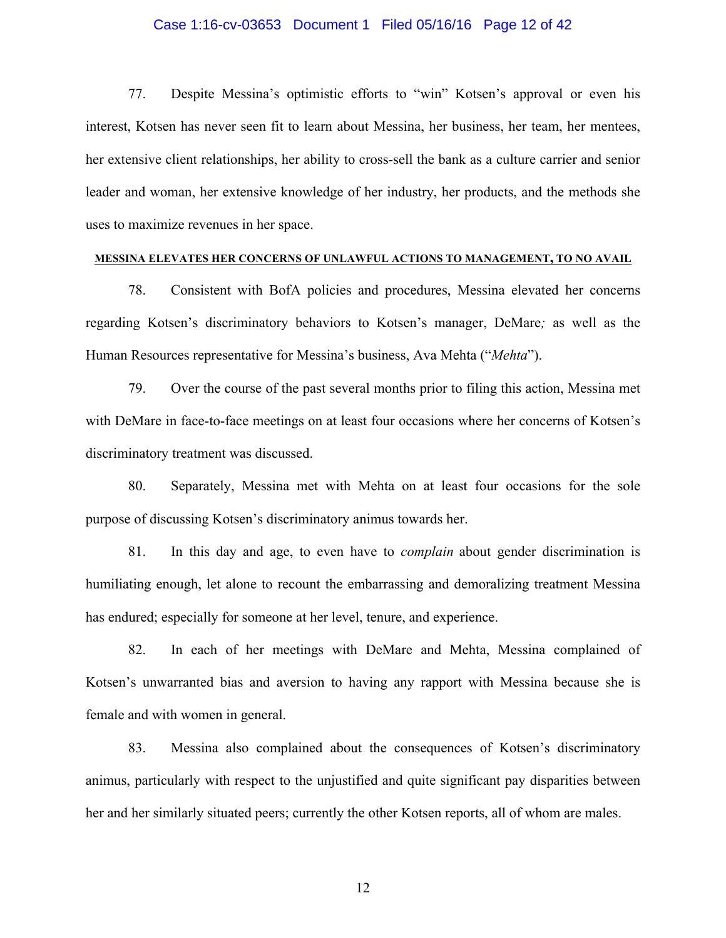### Case 1:16-cv-03653 Document 1 Filed 05/16/16 Page 12 of 42

77. Despite Messina's optimistic efforts to "win" Kotsen's approval or even his interest, Kotsen has never seen fit to learn about Messina, her business, her team, her mentees, her extensive client relationships, her ability to cross-sell the bank as a culture carrier and senior leader and woman, her extensive knowledge of her industry, her products, and the methods she uses to maximize revenues in her space.

### **MESSINA ELEVATES HER CONCERNS OF UNLAWFUL ACTIONS TO MANAGEMENT, TO NO AVAIL**

78. Consistent with BofA policies and procedures, Messina elevated her concerns regarding Kotsen's discriminatory behaviors to Kotsen's manager, DeMare*;* as well as the Human Resources representative for Messina's business, Ava Mehta ("*Mehta*").

79. Over the course of the past several months prior to filing this action, Messina met with DeMare in face-to-face meetings on at least four occasions where her concerns of Kotsen's discriminatory treatment was discussed.

80. Separately, Messina met with Mehta on at least four occasions for the sole purpose of discussing Kotsen's discriminatory animus towards her.

81. In this day and age, to even have to *complain* about gender discrimination is humiliating enough, let alone to recount the embarrassing and demoralizing treatment Messina has endured; especially for someone at her level, tenure, and experience.

82. In each of her meetings with DeMare and Mehta, Messina complained of Kotsen's unwarranted bias and aversion to having any rapport with Messina because she is female and with women in general.

83. Messina also complained about the consequences of Kotsen's discriminatory animus, particularly with respect to the unjustified and quite significant pay disparities between her and her similarly situated peers; currently the other Kotsen reports, all of whom are males.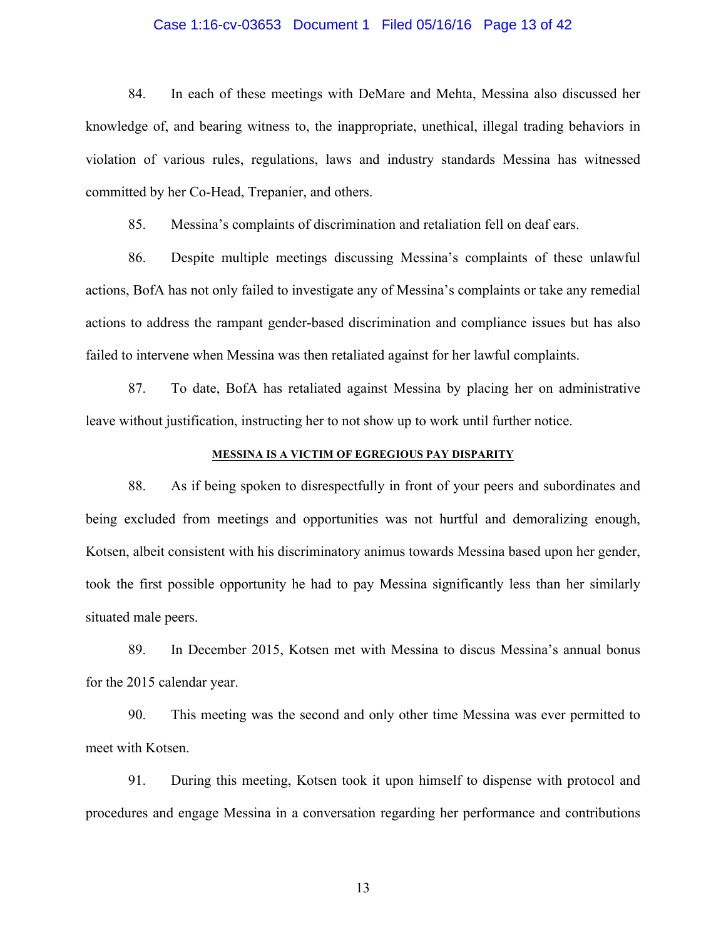### Case 1:16-cv-03653 Document 1 Filed 05/16/16 Page 13 of 42

84. In each of these meetings with DeMare and Mehta, Messina also discussed her knowledge of, and bearing witness to, the inappropriate, unethical, illegal trading behaviors in violation of various rules, regulations, laws and industry standards Messina has witnessed committed by her Co-Head, Trepanier, and others.

85. Messina's complaints of discrimination and retaliation fell on deaf ears.

86. Despite multiple meetings discussing Messina's complaints of these unlawful actions, BofA has not only failed to investigate any of Messina's complaints or take any remedial actions to address the rampant gender-based discrimination and compliance issues but has also failed to intervene when Messina was then retaliated against for her lawful complaints.

87. To date, BofA has retaliated against Messina by placing her on administrative leave without justification, instructing her to not show up to work until further notice.

### **MESSINA IS A VICTIM OF EGREGIOUS PAY DISPARITY**

88. As if being spoken to disrespectfully in front of your peers and subordinates and being excluded from meetings and opportunities was not hurtful and demoralizing enough, Kotsen, albeit consistent with his discriminatory animus towards Messina based upon her gender, took the first possible opportunity he had to pay Messina significantly less than her similarly situated male peers.

89. In December 2015, Kotsen met with Messina to discus Messina's annual bonus for the 2015 calendar year.

90. This meeting was the second and only other time Messina was ever permitted to meet with Kotsen.

91. During this meeting, Kotsen took it upon himself to dispense with protocol and procedures and engage Messina in a conversation regarding her performance and contributions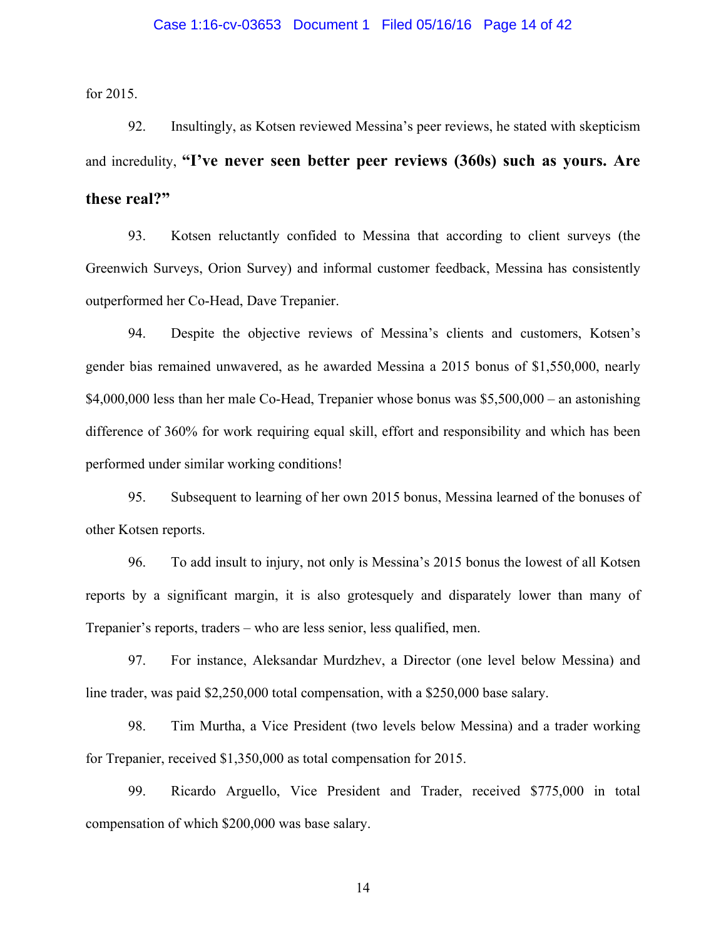### Case 1:16-cv-03653 Document 1 Filed 05/16/16 Page 14 of 42

for 2015.

92. Insultingly, as Kotsen reviewed Messina's peer reviews, he stated with skepticism and incredulity, **"I've never seen better peer reviews (360s) such as yours. Are these real?"**

93. Kotsen reluctantly confided to Messina that according to client surveys (the Greenwich Surveys, Orion Survey) and informal customer feedback, Messina has consistently outperformed her Co-Head, Dave Trepanier.

94. Despite the objective reviews of Messina's clients and customers, Kotsen's gender bias remained unwavered, as he awarded Messina a 2015 bonus of \$1,550,000, nearly \$4,000,000 less than her male Co-Head, Trepanier whose bonus was \$5,500,000 – an astonishing difference of 360% for work requiring equal skill, effort and responsibility and which has been performed under similar working conditions!

95. Subsequent to learning of her own 2015 bonus, Messina learned of the bonuses of other Kotsen reports.

96. To add insult to injury, not only is Messina's 2015 bonus the lowest of all Kotsen reports by a significant margin, it is also grotesquely and disparately lower than many of Trepanier's reports, traders – who are less senior, less qualified, men.

97. For instance, Aleksandar Murdzhev, a Director (one level below Messina) and line trader, was paid \$2,250,000 total compensation, with a \$250,000 base salary.

98. Tim Murtha, a Vice President (two levels below Messina) and a trader working for Trepanier, received \$1,350,000 as total compensation for 2015.

99. Ricardo Arguello, Vice President and Trader, received \$775,000 in total compensation of which \$200,000 was base salary.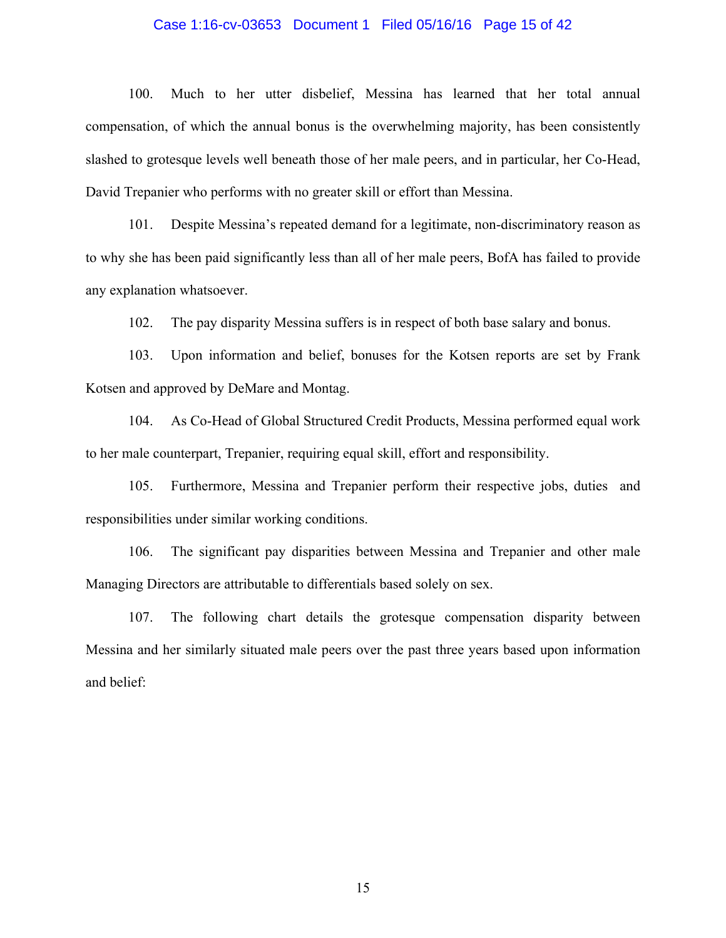### Case 1:16-cv-03653 Document 1 Filed 05/16/16 Page 15 of 42

100. Much to her utter disbelief, Messina has learned that her total annual compensation, of which the annual bonus is the overwhelming majority, has been consistently slashed to grotesque levels well beneath those of her male peers, and in particular, her Co-Head, David Trepanier who performs with no greater skill or effort than Messina.

101. Despite Messina's repeated demand for a legitimate, non-discriminatory reason as to why she has been paid significantly less than all of her male peers, BofA has failed to provide any explanation whatsoever.

102. The pay disparity Messina suffers is in respect of both base salary and bonus.

103. Upon information and belief, bonuses for the Kotsen reports are set by Frank Kotsen and approved by DeMare and Montag.

104. As Co-Head of Global Structured Credit Products, Messina performed equal work to her male counterpart, Trepanier, requiring equal skill, effort and responsibility.

105. Furthermore, Messina and Trepanier perform their respective jobs, duties and responsibilities under similar working conditions.

106. The significant pay disparities between Messina and Trepanier and other male Managing Directors are attributable to differentials based solely on sex.

107. The following chart details the grotesque compensation disparity between Messina and her similarly situated male peers over the past three years based upon information and belief: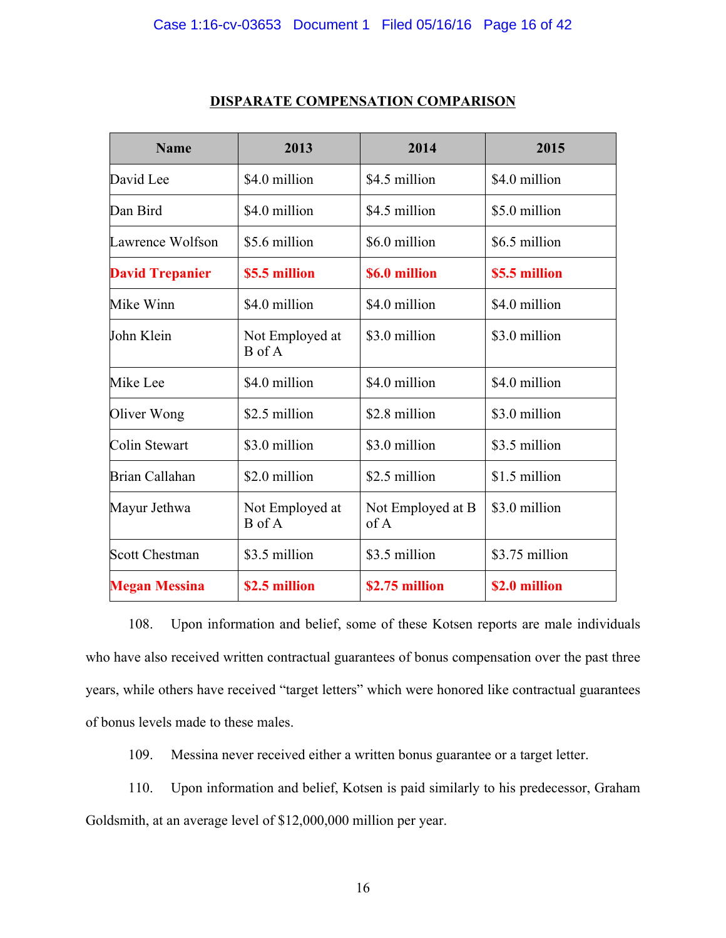### Case 1:16-cv-03653 Document 1 Filed 05/16/16 Page 16 of 42

| <b>Name</b>            | 2013                      | 2014                      | 2015           |
|------------------------|---------------------------|---------------------------|----------------|
| David Lee              | \$4.0 million             | \$4.5 million             | \$4.0 million  |
| Dan Bird               | \$4.0 million             | \$4.5 million             | \$5.0 million  |
| Lawrence Wolfson       | \$5.6 million             | \$6.0 million             | \$6.5 million  |
| <b>David Trepanier</b> | \$5.5 million             | \$6.0 million             | \$5.5 million  |
| Mike Winn              | \$4.0 million             | \$4.0 million             | \$4.0 million  |
| John Klein             | Not Employed at<br>B of A | \$3.0 million             | \$3.0 million  |
| Mike Lee               | \$4.0 million             | \$4.0 million             | \$4.0 million  |
| Oliver Wong            | \$2.5 million             | \$2.8 million             | \$3.0 million  |
| Colin Stewart          | \$3.0 million             | \$3.0 million             | \$3.5 million  |
| Brian Callahan         | \$2.0 million             | \$2.5 million             | \$1.5 million  |
| Mayur Jethwa           | Not Employed at<br>B of A | Not Employed at B<br>of A | \$3.0 million  |
| <b>Scott Chestman</b>  | \$3.5 million             | \$3.5 million             | \$3.75 million |
| <b>Megan Messina</b>   | \$2.5 million             | \$2.75 million            | \$2.0 million  |

### **DISPARATE COMPENSATION COMPARISON**

108. Upon information and belief, some of these Kotsen reports are male individuals who have also received written contractual guarantees of bonus compensation over the past three years, while others have received "target letters" which were honored like contractual guarantees of bonus levels made to these males.

109. Messina never received either a written bonus guarantee or a target letter.

110. Upon information and belief, Kotsen is paid similarly to his predecessor, Graham Goldsmith, at an average level of \$12,000,000 million per year.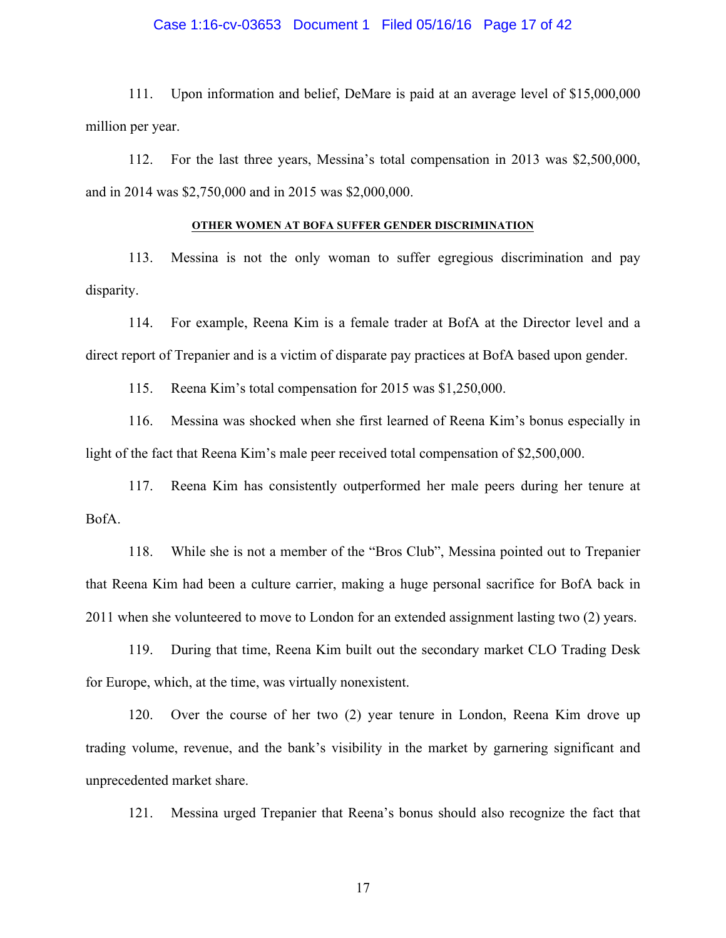### Case 1:16-cv-03653 Document 1 Filed 05/16/16 Page 17 of 42

111. Upon information and belief, DeMare is paid at an average level of \$15,000,000 million per year.

112. For the last three years, Messina's total compensation in 2013 was \$2,500,000, and in 2014 was \$2,750,000 and in 2015 was \$2,000,000.

#### **OTHER WOMEN AT BOFA SUFFER GENDER DISCRIMINATION**

113. Messina is not the only woman to suffer egregious discrimination and pay disparity.

114. For example, Reena Kim is a female trader at BofA at the Director level and a direct report of Trepanier and is a victim of disparate pay practices at BofA based upon gender.

115. Reena Kim's total compensation for 2015 was \$1,250,000.

116. Messina was shocked when she first learned of Reena Kim's bonus especially in light of the fact that Reena Kim's male peer received total compensation of \$2,500,000.

117. Reena Kim has consistently outperformed her male peers during her tenure at BofA.

118. While she is not a member of the "Bros Club", Messina pointed out to Trepanier that Reena Kim had been a culture carrier, making a huge personal sacrifice for BofA back in 2011 when she volunteered to move to London for an extended assignment lasting two (2) years.

119. During that time, Reena Kim built out the secondary market CLO Trading Desk for Europe, which, at the time, was virtually nonexistent.

120. Over the course of her two (2) year tenure in London, Reena Kim drove up trading volume, revenue, and the bank's visibility in the market by garnering significant and unprecedented market share.

121. Messina urged Trepanier that Reena's bonus should also recognize the fact that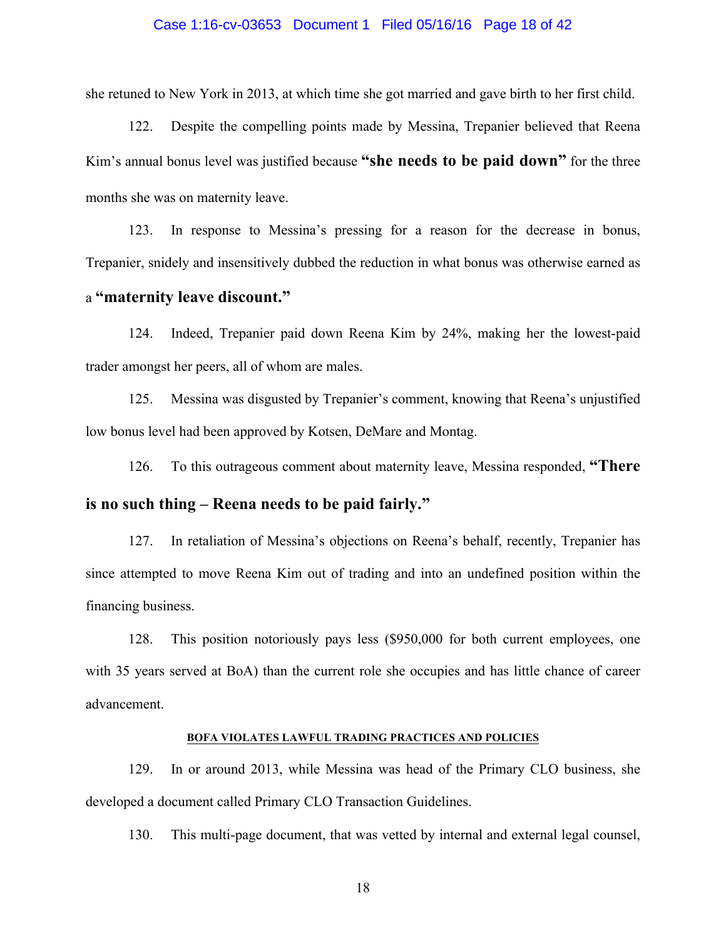### Case 1:16-cv-03653 Document 1 Filed 05/16/16 Page 18 of 42

she retuned to New York in 2013, at which time she got married and gave birth to her first child.

122. Despite the compelling points made by Messina, Trepanier believed that Reena Kim's annual bonus level was justified because **"she needs to be paid down"** for the three months she was on maternity leave.

123. In response to Messina's pressing for a reason for the decrease in bonus, Trepanier, snidely and insensitively dubbed the reduction in what bonus was otherwise earned as

# a **"maternity leave discount."**

124. Indeed, Trepanier paid down Reena Kim by 24%, making her the lowest-paid trader amongst her peers, all of whom are males.

125. Messina was disgusted by Trepanier's comment, knowing that Reena's unjustified low bonus level had been approved by Kotsen, DeMare and Montag.

126. To this outrageous comment about maternity leave, Messina responded, **"There** 

# **is no such thing – Reena needs to be paid fairly."**

127. In retaliation of Messina's objections on Reena's behalf, recently, Trepanier has since attempted to move Reena Kim out of trading and into an undefined position within the financing business.

128. This position notoriously pays less (\$950,000 for both current employees, one with 35 years served at BoA) than the current role she occupies and has little chance of career advancement.

### **BOFA VIOLATES LAWFUL TRADING PRACTICES AND POLICIES**

129. In or around 2013, while Messina was head of the Primary CLO business, she developed a document called Primary CLO Transaction Guidelines.

130. This multi-page document, that was vetted by internal and external legal counsel,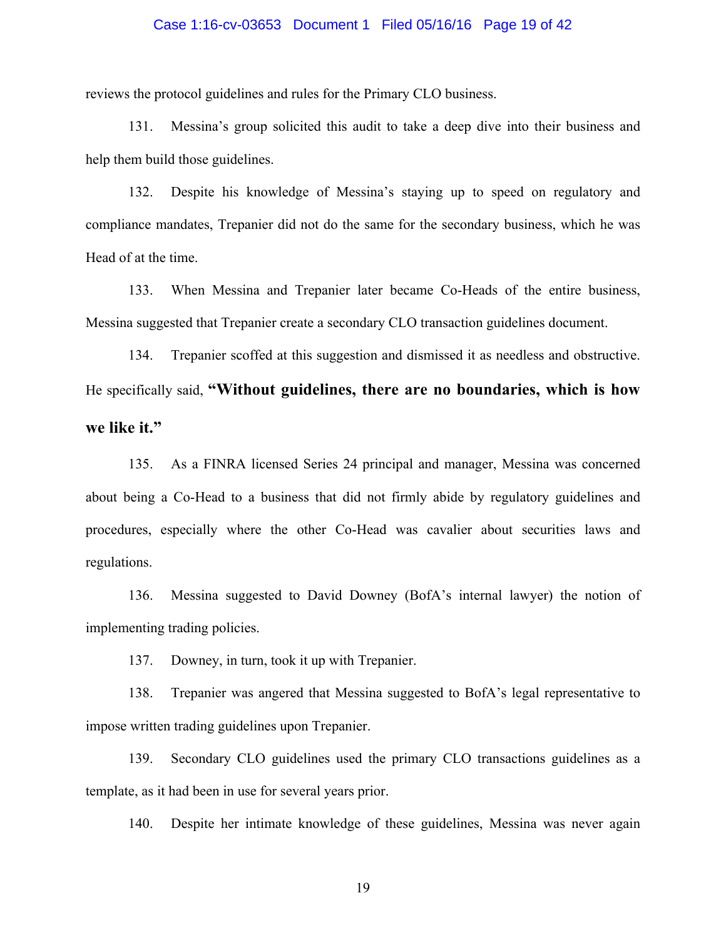### Case 1:16-cv-03653 Document 1 Filed 05/16/16 Page 19 of 42

reviews the protocol guidelines and rules for the Primary CLO business.

131. Messina's group solicited this audit to take a deep dive into their business and help them build those guidelines.

132. Despite his knowledge of Messina's staying up to speed on regulatory and compliance mandates, Trepanier did not do the same for the secondary business, which he was Head of at the time.

133. When Messina and Trepanier later became Co-Heads of the entire business, Messina suggested that Trepanier create a secondary CLO transaction guidelines document.

134. Trepanier scoffed at this suggestion and dismissed it as needless and obstructive. He specifically said, **"Without guidelines, there are no boundaries, which is how we like it."**

135. As a FINRA licensed Series 24 principal and manager, Messina was concerned about being a Co-Head to a business that did not firmly abide by regulatory guidelines and procedures, especially where the other Co-Head was cavalier about securities laws and regulations.

136. Messina suggested to David Downey (BofA's internal lawyer) the notion of implementing trading policies.

137. Downey, in turn, took it up with Trepanier.

138. Trepanier was angered that Messina suggested to BofA's legal representative to impose written trading guidelines upon Trepanier.

139. Secondary CLO guidelines used the primary CLO transactions guidelines as a template, as it had been in use for several years prior.

140. Despite her intimate knowledge of these guidelines, Messina was never again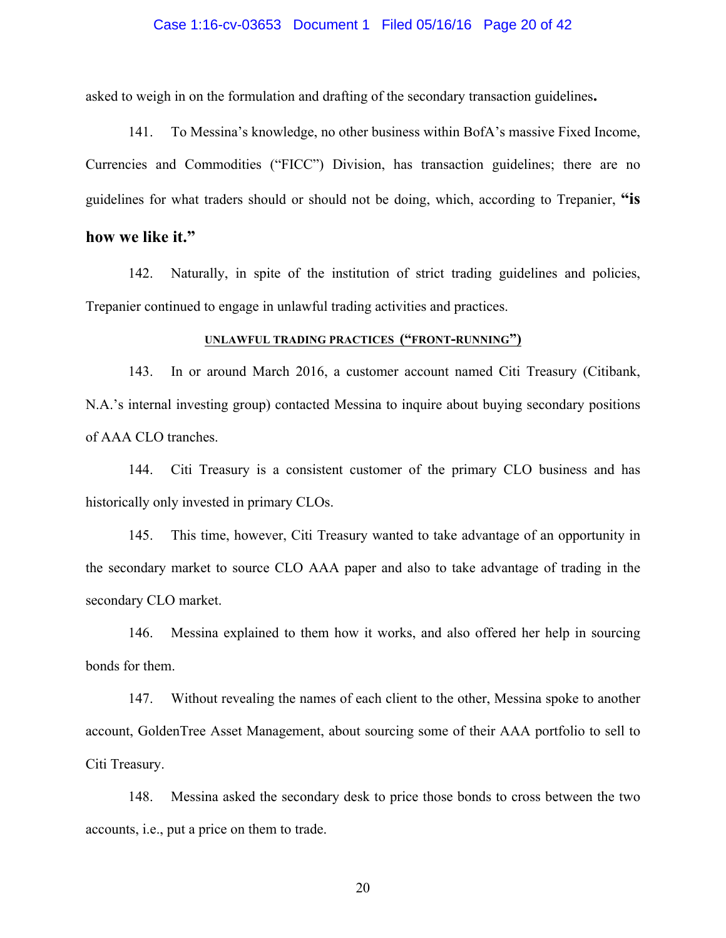### Case 1:16-cv-03653 Document 1 Filed 05/16/16 Page 20 of 42

asked to weigh in on the formulation and drafting of the secondary transaction guidelines**.**

141. To Messina's knowledge, no other business within BofA's massive Fixed Income, Currencies and Commodities ("FICC") Division, has transaction guidelines; there are no guidelines for what traders should or should not be doing, which, according to Trepanier, **"is** 

## **how we like it."**

142. Naturally, in spite of the institution of strict trading guidelines and policies, Trepanier continued to engage in unlawful trading activities and practices.

## **UNLAWFUL TRADING PRACTICES ("FRONT-RUNNING")**

143. In or around March 2016, a customer account named Citi Treasury (Citibank, N.A.'s internal investing group) contacted Messina to inquire about buying secondary positions of AAA CLO tranches.

144. Citi Treasury is a consistent customer of the primary CLO business and has historically only invested in primary CLOs.

145. This time, however, Citi Treasury wanted to take advantage of an opportunity in the secondary market to source CLO AAA paper and also to take advantage of trading in the secondary CLO market.

146. Messina explained to them how it works, and also offered her help in sourcing bonds for them.

147. Without revealing the names of each client to the other, Messina spoke to another account, GoldenTree Asset Management, about sourcing some of their AAA portfolio to sell to Citi Treasury.

148. Messina asked the secondary desk to price those bonds to cross between the two accounts, i.e., put a price on them to trade.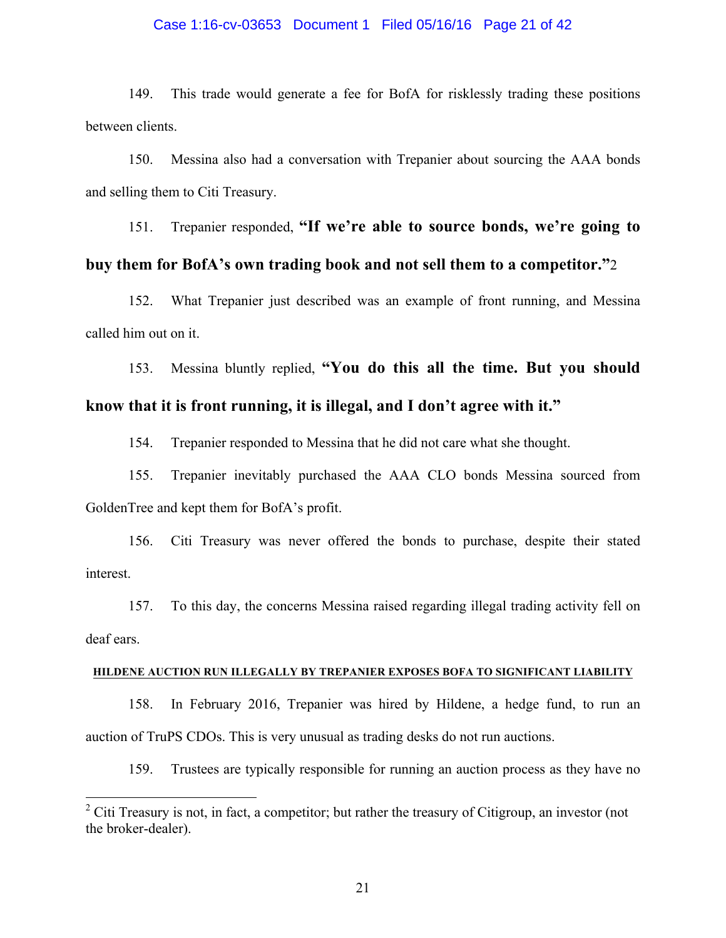### Case 1:16-cv-03653 Document 1 Filed 05/16/16 Page 21 of 42

149. This trade would generate a fee for BofA for risklessly trading these positions between clients.

150. Messina also had a conversation with Trepanier about sourcing the AAA bonds and selling them to Citi Treasury.

151. Trepanier responded, **"If we're able to source bonds, we're going to** 

# **buy them for BofA's own trading book and not sell them to a competitor."**2

152. What Trepanier just described was an example of front running, and Messina called him out on it.

153. Messina bluntly replied, **"You do this all the time. But you should know that it is front running, it is illegal, and I don't agree with it."**

154. Trepanier responded to Messina that he did not care what she thought.

155. Trepanier inevitably purchased the AAA CLO bonds Messina sourced from GoldenTree and kept them for BofA's profit.

156. Citi Treasury was never offered the bonds to purchase, despite their stated interest.

157. To this day, the concerns Messina raised regarding illegal trading activity fell on deaf ears.

### **HILDENE AUCTION RUN ILLEGALLY BY TREPANIER EXPOSES BOFA TO SIGNIFICANT LIABILITY**

158. In February 2016, Trepanier was hired by Hildene, a hedge fund, to run an auction of TruPS CDOs. This is very unusual as trading desks do not run auctions.

159. Trustees are typically responsible for running an auction process as they have no

<sup>&</sup>lt;sup>2</sup> Citi Treasury is not, in fact, a competitor; but rather the treasury of Citigroup, an investor (not the broker-dealer).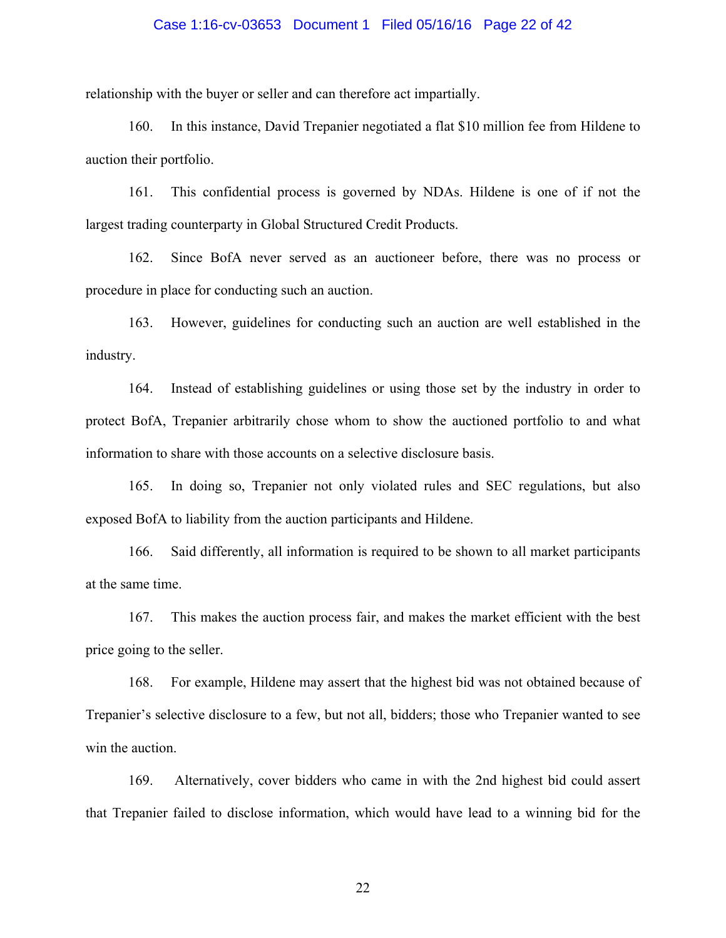### Case 1:16-cv-03653 Document 1 Filed 05/16/16 Page 22 of 42

relationship with the buyer or seller and can therefore act impartially.

160. In this instance, David Trepanier negotiated a flat \$10 million fee from Hildene to auction their portfolio.

161. This confidential process is governed by NDAs. Hildene is one of if not the largest trading counterparty in Global Structured Credit Products.

162. Since BofA never served as an auctioneer before, there was no process or procedure in place for conducting such an auction.

163. However, guidelines for conducting such an auction are well established in the industry.

164. Instead of establishing guidelines or using those set by the industry in order to protect BofA, Trepanier arbitrarily chose whom to show the auctioned portfolio to and what information to share with those accounts on a selective disclosure basis.

165. In doing so, Trepanier not only violated rules and SEC regulations, but also exposed BofA to liability from the auction participants and Hildene.

166. Said differently, all information is required to be shown to all market participants at the same time.

167. This makes the auction process fair, and makes the market efficient with the best price going to the seller.

168. For example, Hildene may assert that the highest bid was not obtained because of Trepanier's selective disclosure to a few, but not all, bidders; those who Trepanier wanted to see win the auction.

169. Alternatively, cover bidders who came in with the 2nd highest bid could assert that Trepanier failed to disclose information, which would have lead to a winning bid for the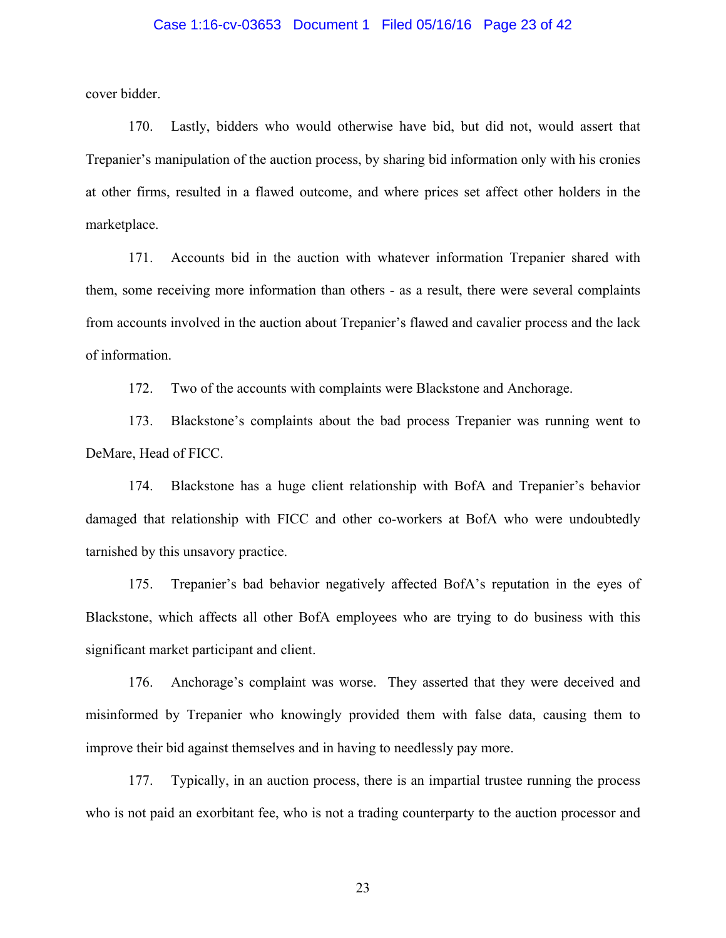### Case 1:16-cv-03653 Document 1 Filed 05/16/16 Page 23 of 42

cover bidder.

170. Lastly, bidders who would otherwise have bid, but did not, would assert that Trepanier's manipulation of the auction process, by sharing bid information only with his cronies at other firms, resulted in a flawed outcome, and where prices set affect other holders in the marketplace.

171. Accounts bid in the auction with whatever information Trepanier shared with them, some receiving more information than others - as a result, there were several complaints from accounts involved in the auction about Trepanier's flawed and cavalier process and the lack of information.

172. Two of the accounts with complaints were Blackstone and Anchorage.

173. Blackstone's complaints about the bad process Trepanier was running went to DeMare, Head of FICC.

174. Blackstone has a huge client relationship with BofA and Trepanier's behavior damaged that relationship with FICC and other co-workers at BofA who were undoubtedly tarnished by this unsavory practice.

175. Trepanier's bad behavior negatively affected BofA's reputation in the eyes of Blackstone, which affects all other BofA employees who are trying to do business with this significant market participant and client.

176. Anchorage's complaint was worse. They asserted that they were deceived and misinformed by Trepanier who knowingly provided them with false data, causing them to improve their bid against themselves and in having to needlessly pay more.

177. Typically, in an auction process, there is an impartial trustee running the process who is not paid an exorbitant fee, who is not a trading counterparty to the auction processor and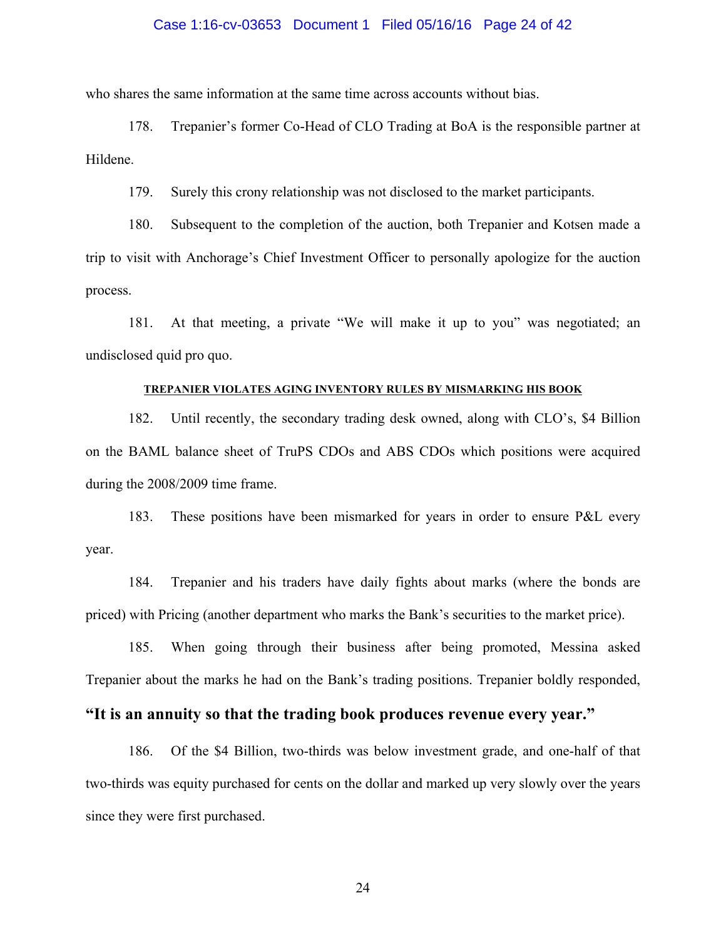### Case 1:16-cv-03653 Document 1 Filed 05/16/16 Page 24 of 42

who shares the same information at the same time across accounts without bias.

178. Trepanier's former Co-Head of CLO Trading at BoA is the responsible partner at Hildene.

179. Surely this crony relationship was not disclosed to the market participants.

180. Subsequent to the completion of the auction, both Trepanier and Kotsen made a trip to visit with Anchorage's Chief Investment Officer to personally apologize for the auction process.

181. At that meeting, a private "We will make it up to you" was negotiated; an undisclosed quid pro quo.

### **TREPANIER VIOLATES AGING INVENTORY RULES BY MISMARKING HIS BOOK**

182. Until recently, the secondary trading desk owned, along with CLO's, \$4 Billion on the BAML balance sheet of TruPS CDOs and ABS CDOs which positions were acquired during the 2008/2009 time frame.

183. These positions have been mismarked for years in order to ensure P&L every year.

184. Trepanier and his traders have daily fights about marks (where the bonds are priced) with Pricing (another department who marks the Bank's securities to the market price).

185. When going through their business after being promoted, Messina asked Trepanier about the marks he had on the Bank's trading positions. Trepanier boldly responded,

# **"It is an annuity so that the trading book produces revenue every year."**

186. Of the \$4 Billion, two-thirds was below investment grade, and one-half of that two-thirds was equity purchased for cents on the dollar and marked up very slowly over the years since they were first purchased.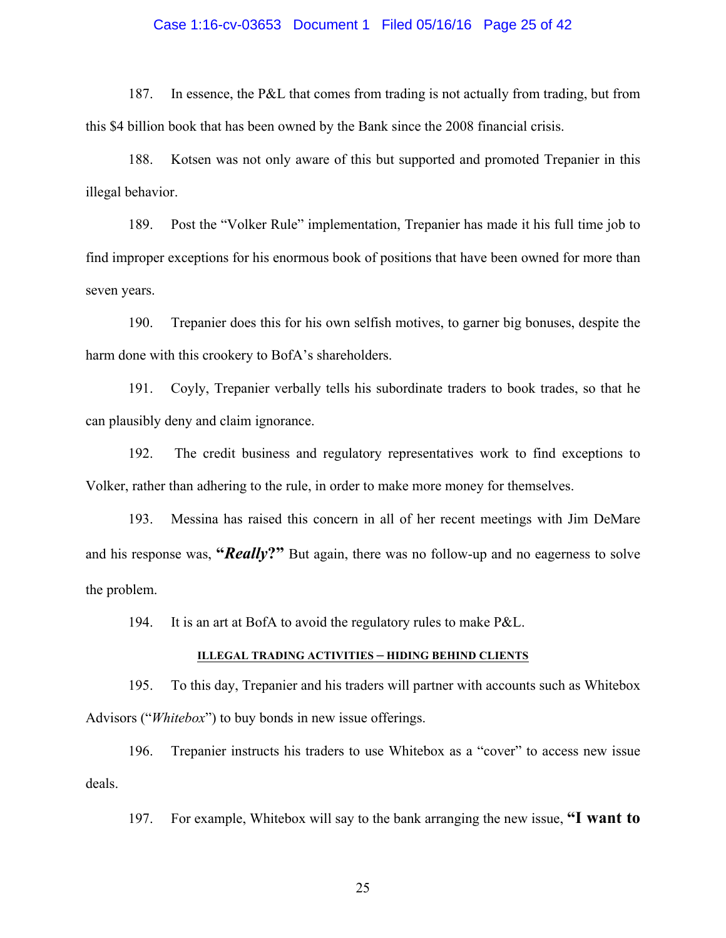### Case 1:16-cv-03653 Document 1 Filed 05/16/16 Page 25 of 42

187. In essence, the P&L that comes from trading is not actually from trading, but from this \$4 billion book that has been owned by the Bank since the 2008 financial crisis.

188. Kotsen was not only aware of this but supported and promoted Trepanier in this illegal behavior.

189. Post the "Volker Rule" implementation, Trepanier has made it his full time job to find improper exceptions for his enormous book of positions that have been owned for more than seven years.

190. Trepanier does this for his own selfish motives, to garner big bonuses, despite the harm done with this crookery to BofA's shareholders.

191. Coyly, Trepanier verbally tells his subordinate traders to book trades, so that he can plausibly deny and claim ignorance.

192. The credit business and regulatory representatives work to find exceptions to Volker, rather than adhering to the rule, in order to make more money for themselves.

193. Messina has raised this concern in all of her recent meetings with Jim DeMare and his response was, **"***Really***?"** But again, there was no follow-up and no eagerness to solve the problem.

194. It is an art at BofA to avoid the regulatory rules to make P&L.

### **ILLEGAL TRADING ACTIVITIES – HIDING BEHIND CLIENTS**

195. To this day, Trepanier and his traders will partner with accounts such as Whitebox Advisors ("*Whitebox*") to buy bonds in new issue offerings.

196. Trepanier instructs his traders to use Whitebox as a "cover" to access new issue deals.

197. For example, Whitebox will say to the bank arranging the new issue, **"I want to**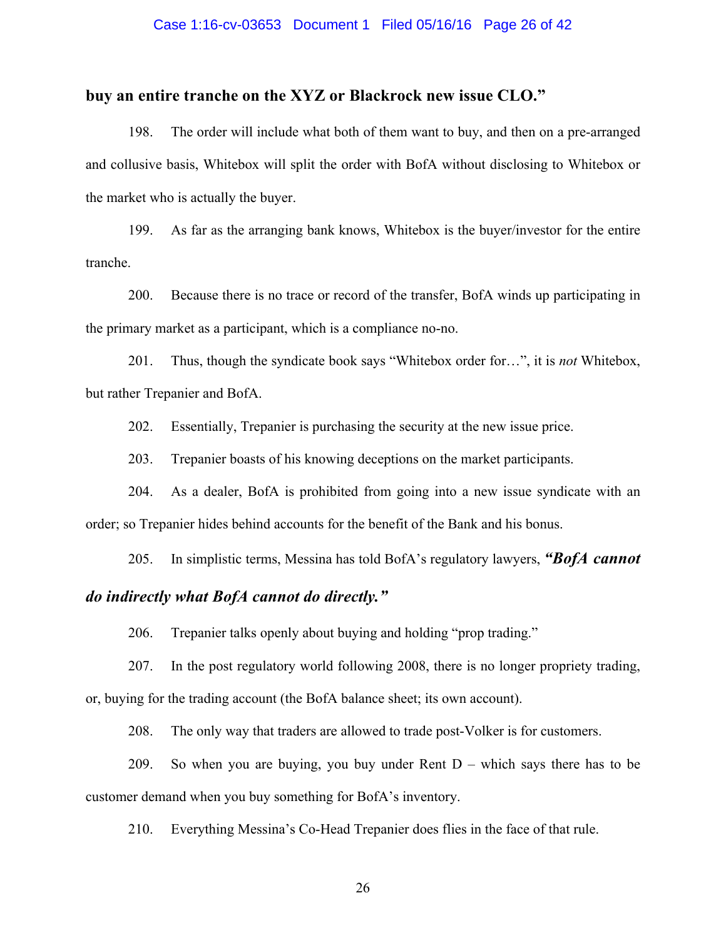### Case 1:16-cv-03653 Document 1 Filed 05/16/16 Page 26 of 42

## **buy an entire tranche on the XYZ or Blackrock new issue CLO."**

198. The order will include what both of them want to buy, and then on a pre-arranged and collusive basis, Whitebox will split the order with BofA without disclosing to Whitebox or the market who is actually the buyer.

199. As far as the arranging bank knows, Whitebox is the buyer/investor for the entire tranche.

200. Because there is no trace or record of the transfer, BofA winds up participating in the primary market as a participant, which is a compliance no-no.

201. Thus, though the syndicate book says "Whitebox order for…", it is *not* Whitebox, but rather Trepanier and BofA.

202. Essentially, Trepanier is purchasing the security at the new issue price.

203. Trepanier boasts of his knowing deceptions on the market participants.

204. As a dealer, BofA is prohibited from going into a new issue syndicate with an order; so Trepanier hides behind accounts for the benefit of the Bank and his bonus.

205. In simplistic terms, Messina has told BofA's regulatory lawyers, *"BofA cannot*

# *do indirectly what BofA cannot do directly."*

206. Trepanier talks openly about buying and holding "prop trading."

207. In the post regulatory world following 2008, there is no longer propriety trading, or, buying for the trading account (the BofA balance sheet; its own account).

208. The only way that traders are allowed to trade post-Volker is for customers.

209. So when you are buying, you buy under Rent D – which says there has to be customer demand when you buy something for BofA's inventory.

210. Everything Messina's Co-Head Trepanier does flies in the face of that rule.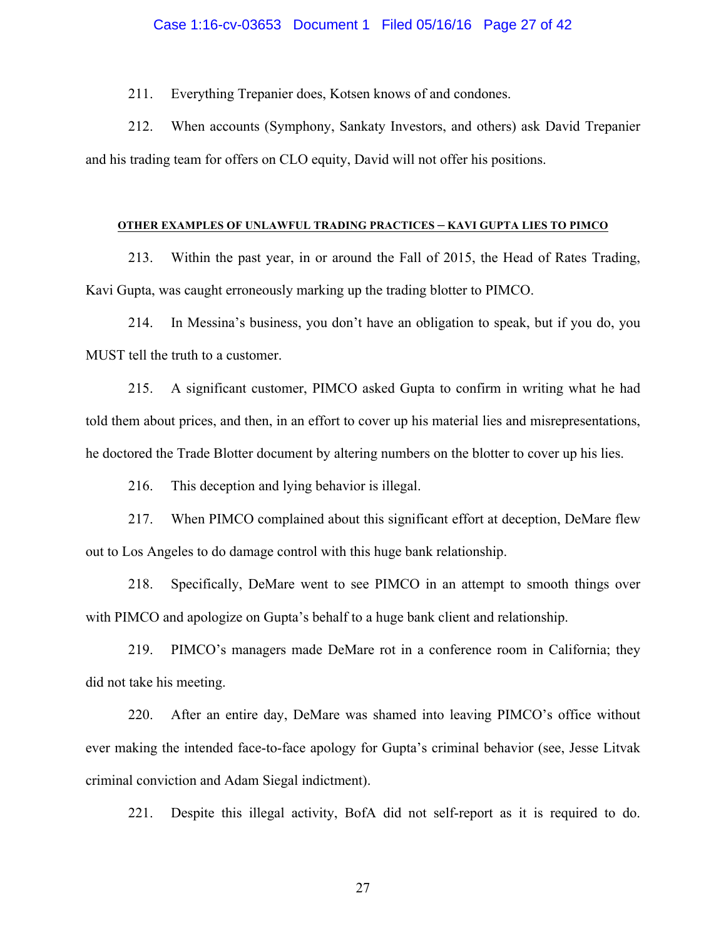211. Everything Trepanier does, Kotsen knows of and condones.

212. When accounts (Symphony, Sankaty Investors, and others) ask David Trepanier and his trading team for offers on CLO equity, David will not offer his positions.

### **OTHER EXAMPLES OF UNLAWFUL TRADING PRACTICES – KAVI GUPTA LIES TO PIMCO**

213. Within the past year, in or around the Fall of 2015, the Head of Rates Trading, Kavi Gupta, was caught erroneously marking up the trading blotter to PIMCO.

214. In Messina's business, you don't have an obligation to speak, but if you do, you MUST tell the truth to a customer.

215. A significant customer, PIMCO asked Gupta to confirm in writing what he had told them about prices, and then, in an effort to cover up his material lies and misrepresentations, he doctored the Trade Blotter document by altering numbers on the blotter to cover up his lies.

216. This deception and lying behavior is illegal.

217. When PIMCO complained about this significant effort at deception, DeMare flew out to Los Angeles to do damage control with this huge bank relationship.

218. Specifically, DeMare went to see PIMCO in an attempt to smooth things over with PIMCO and apologize on Gupta's behalf to a huge bank client and relationship.

219. PIMCO's managers made DeMare rot in a conference room in California; they did not take his meeting.

220. After an entire day, DeMare was shamed into leaving PIMCO's office without ever making the intended face-to-face apology for Gupta's criminal behavior (see, Jesse Litvak criminal conviction and Adam Siegal indictment).

221. Despite this illegal activity, BofA did not self-report as it is required to do.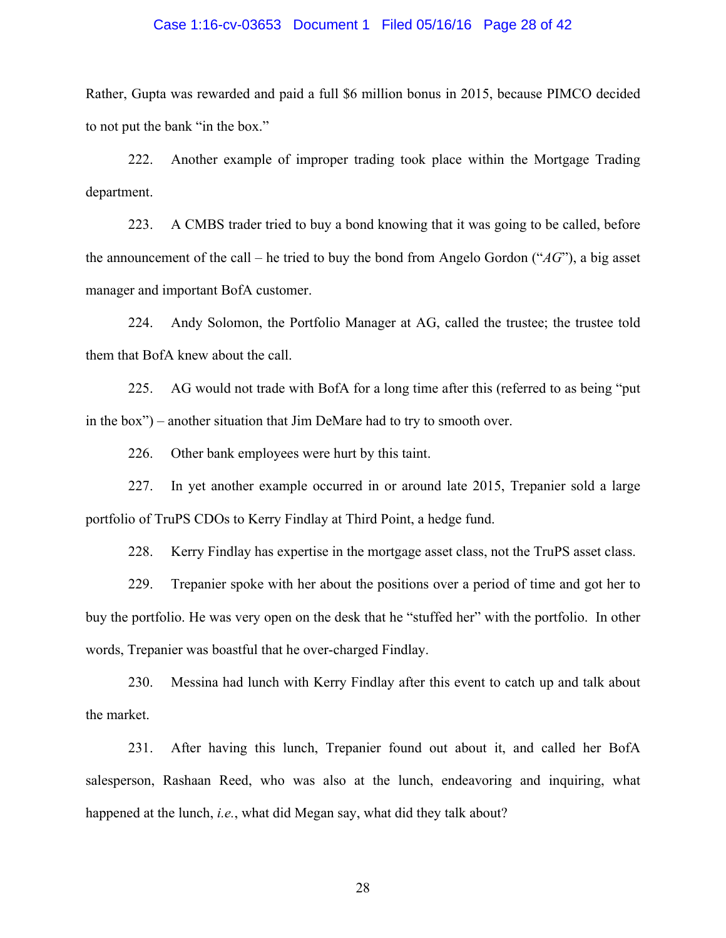### Case 1:16-cv-03653 Document 1 Filed 05/16/16 Page 28 of 42

Rather, Gupta was rewarded and paid a full \$6 million bonus in 2015, because PIMCO decided to not put the bank "in the box."

222. Another example of improper trading took place within the Mortgage Trading department.

223. A CMBS trader tried to buy a bond knowing that it was going to be called, before the announcement of the call – he tried to buy the bond from Angelo Gordon ("*AG*"), a big asset manager and important BofA customer.

224. Andy Solomon, the Portfolio Manager at AG, called the trustee; the trustee told them that BofA knew about the call.

225. AG would not trade with BofA for a long time after this (referred to as being "put in the box") – another situation that Jim DeMare had to try to smooth over.

226. Other bank employees were hurt by this taint.

227. In yet another example occurred in or around late 2015, Trepanier sold a large portfolio of TruPS CDOs to Kerry Findlay at Third Point, a hedge fund.

228. Kerry Findlay has expertise in the mortgage asset class, not the TruPS asset class.

229. Trepanier spoke with her about the positions over a period of time and got her to buy the portfolio. He was very open on the desk that he "stuffed her" with the portfolio. In other words, Trepanier was boastful that he over-charged Findlay.

230. Messina had lunch with Kerry Findlay after this event to catch up and talk about the market.

231. After having this lunch, Trepanier found out about it, and called her BofA salesperson, Rashaan Reed, who was also at the lunch, endeavoring and inquiring, what happened at the lunch, *i.e.*, what did Megan say, what did they talk about?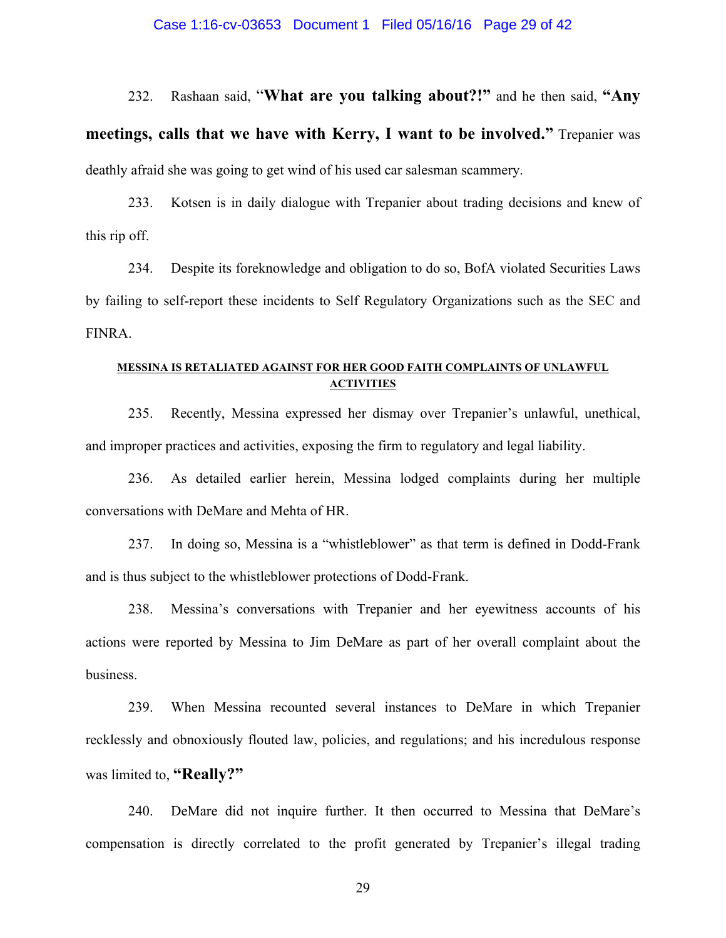### Case 1:16-cv-03653 Document 1 Filed 05/16/16 Page 29 of 42

232. Rashaan said, "**What are you talking about?!"** and he then said, **"Any meetings, calls that we have with Kerry, I want to be involved."** Trepanier was deathly afraid she was going to get wind of his used car salesman scammery.

233. Kotsen is in daily dialogue with Trepanier about trading decisions and knew of this rip off.

234. Despite its foreknowledge and obligation to do so, BofA violated Securities Laws by failing to self-report these incidents to Self Regulatory Organizations such as the SEC and FINRA.

## **MESSINA IS RETALIATED AGAINST FOR HER GOOD FAITH COMPLAINTS OF UNLAWFUL ACTIVITIES**

235. Recently, Messina expressed her dismay over Trepanier's unlawful, unethical, and improper practices and activities, exposing the firm to regulatory and legal liability.

236. As detailed earlier herein, Messina lodged complaints during her multiple conversations with DeMare and Mehta of HR.

237. In doing so, Messina is a "whistleblower" as that term is defined in Dodd-Frank and is thus subject to the whistleblower protections of Dodd-Frank.

238. Messina's conversations with Trepanier and her eyewitness accounts of his actions were reported by Messina to Jim DeMare as part of her overall complaint about the business.

239. When Messina recounted several instances to DeMare in which Trepanier recklessly and obnoxiously flouted law, policies, and regulations; and his incredulous response was limited to, **"Really?"**

240. DeMare did not inquire further. It then occurred to Messina that DeMare's compensation is directly correlated to the profit generated by Trepanier's illegal trading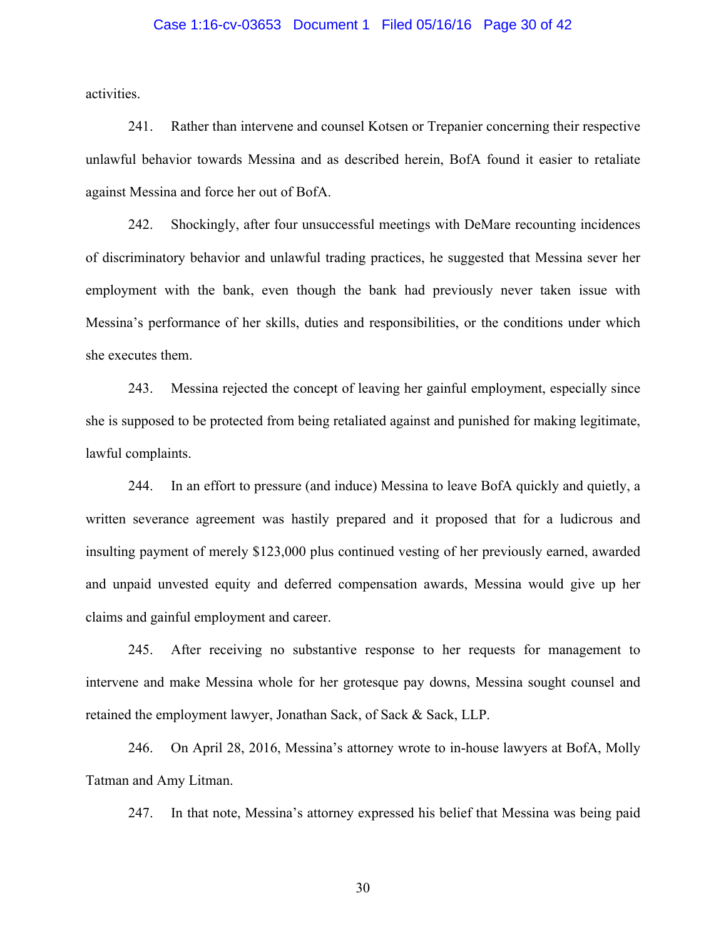### Case 1:16-cv-03653 Document 1 Filed 05/16/16 Page 30 of 42

activities.

241. Rather than intervene and counsel Kotsen or Trepanier concerning their respective unlawful behavior towards Messina and as described herein, BofA found it easier to retaliate against Messina and force her out of BofA.

242. Shockingly, after four unsuccessful meetings with DeMare recounting incidences of discriminatory behavior and unlawful trading practices, he suggested that Messina sever her employment with the bank, even though the bank had previously never taken issue with Messina's performance of her skills, duties and responsibilities, or the conditions under which she executes them.

243. Messina rejected the concept of leaving her gainful employment, especially since she is supposed to be protected from being retaliated against and punished for making legitimate, lawful complaints.

244. In an effort to pressure (and induce) Messina to leave BofA quickly and quietly, a written severance agreement was hastily prepared and it proposed that for a ludicrous and insulting payment of merely \$123,000 plus continued vesting of her previously earned, awarded and unpaid unvested equity and deferred compensation awards, Messina would give up her claims and gainful employment and career.

245. After receiving no substantive response to her requests for management to intervene and make Messina whole for her grotesque pay downs, Messina sought counsel and retained the employment lawyer, Jonathan Sack, of Sack & Sack, LLP.

246. On April 28, 2016, Messina's attorney wrote to in-house lawyers at BofA, Molly Tatman and Amy Litman.

247. In that note, Messina's attorney expressed his belief that Messina was being paid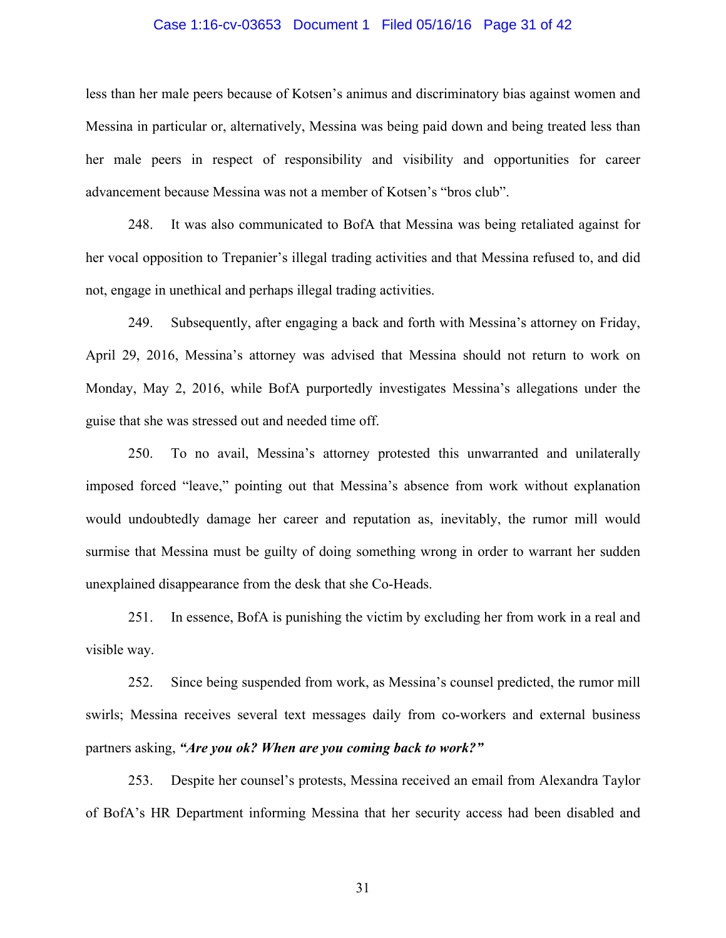### Case 1:16-cv-03653 Document 1 Filed 05/16/16 Page 31 of 42

less than her male peers because of Kotsen's animus and discriminatory bias against women and Messina in particular or, alternatively, Messina was being paid down and being treated less than her male peers in respect of responsibility and visibility and opportunities for career advancement because Messina was not a member of Kotsen's "bros club".

248. It was also communicated to BofA that Messina was being retaliated against for her vocal opposition to Trepanier's illegal trading activities and that Messina refused to, and did not, engage in unethical and perhaps illegal trading activities.

249. Subsequently, after engaging a back and forth with Messina's attorney on Friday, April 29, 2016, Messina's attorney was advised that Messina should not return to work on Monday, May 2, 2016, while BofA purportedly investigates Messina's allegations under the guise that she was stressed out and needed time off.

250. To no avail, Messina's attorney protested this unwarranted and unilaterally imposed forced "leave," pointing out that Messina's absence from work without explanation would undoubtedly damage her career and reputation as, inevitably, the rumor mill would surmise that Messina must be guilty of doing something wrong in order to warrant her sudden unexplained disappearance from the desk that she Co-Heads.

251. In essence, BofA is punishing the victim by excluding her from work in a real and visible way.

252. Since being suspended from work, as Messina's counsel predicted, the rumor mill swirls; Messina receives several text messages daily from co-workers and external business partners asking, *"Are you ok? When are you coming back to work?"*

253. Despite her counsel's protests, Messina received an email from Alexandra Taylor of BofA's HR Department informing Messina that her security access had been disabled and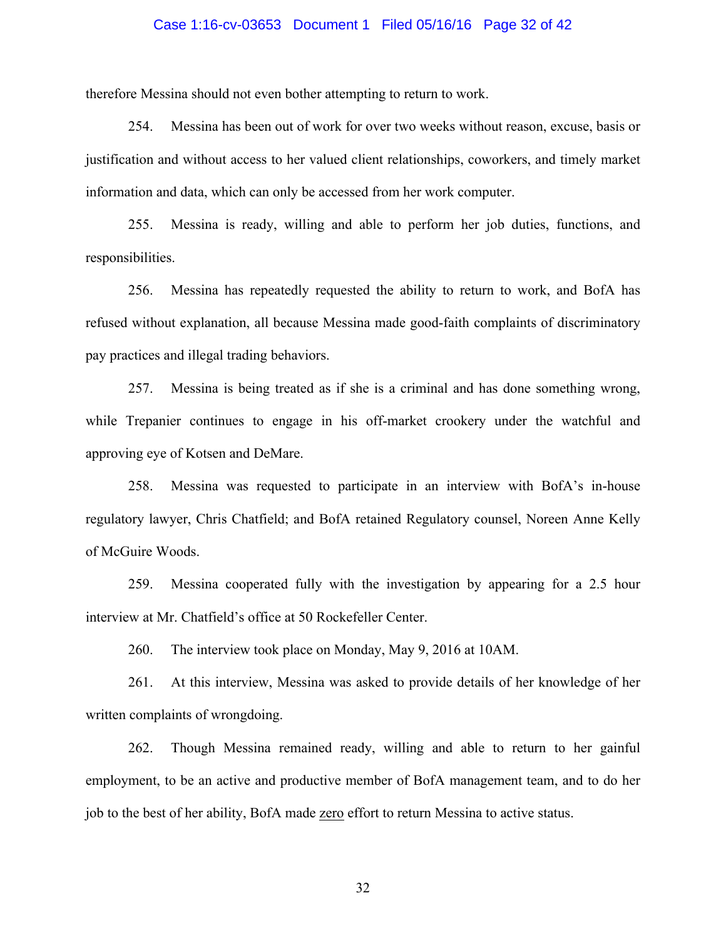### Case 1:16-cv-03653 Document 1 Filed 05/16/16 Page 32 of 42

therefore Messina should not even bother attempting to return to work.

254. Messina has been out of work for over two weeks without reason, excuse, basis or justification and without access to her valued client relationships, coworkers, and timely market information and data, which can only be accessed from her work computer.

255. Messina is ready, willing and able to perform her job duties, functions, and responsibilities.

256. Messina has repeatedly requested the ability to return to work, and BofA has refused without explanation, all because Messina made good-faith complaints of discriminatory pay practices and illegal trading behaviors.

257. Messina is being treated as if she is a criminal and has done something wrong, while Trepanier continues to engage in his off-market crookery under the watchful and approving eye of Kotsen and DeMare.

258. Messina was requested to participate in an interview with BofA's in-house regulatory lawyer, Chris Chatfield; and BofA retained Regulatory counsel, Noreen Anne Kelly of McGuire Woods.

259. Messina cooperated fully with the investigation by appearing for a 2.5 hour interview at Mr. Chatfield's office at 50 Rockefeller Center.

260. The interview took place on Monday, May 9, 2016 at 10AM.

261. At this interview, Messina was asked to provide details of her knowledge of her written complaints of wrongdoing.

262. Though Messina remained ready, willing and able to return to her gainful employment, to be an active and productive member of BofA management team, and to do her job to the best of her ability, BofA made zero effort to return Messina to active status.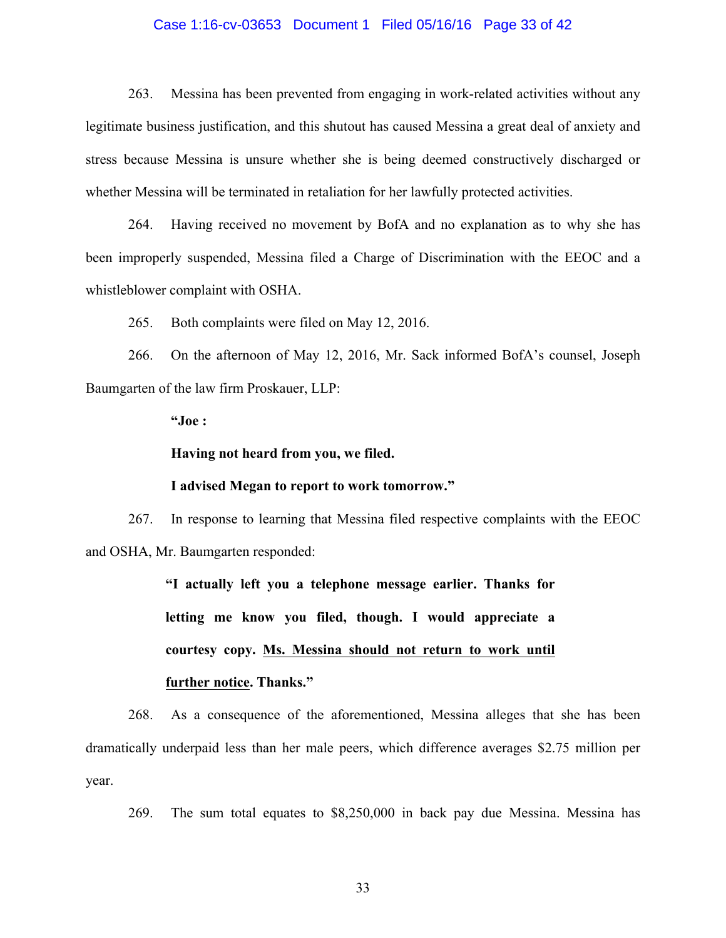### Case 1:16-cv-03653 Document 1 Filed 05/16/16 Page 33 of 42

263. Messina has been prevented from engaging in work-related activities without any legitimate business justification, and this shutout has caused Messina a great deal of anxiety and stress because Messina is unsure whether she is being deemed constructively discharged or whether Messina will be terminated in retaliation for her lawfully protected activities.

264. Having received no movement by BofA and no explanation as to why she has been improperly suspended, Messina filed a Charge of Discrimination with the EEOC and a whistleblower complaint with OSHA.

265. Both complaints were filed on May 12, 2016.

266. On the afternoon of May 12, 2016, Mr. Sack informed BofA's counsel, Joseph Baumgarten of the law firm Proskauer, LLP:

**"Joe :**

**Having not heard from you, we filed.**

### **I advised Megan to report to work tomorrow."**

267. In response to learning that Messina filed respective complaints with the EEOC and OSHA, Mr. Baumgarten responded:

> **"I actually left you a telephone message earlier. Thanks for letting me know you filed, though. I would appreciate a courtesy copy. Ms. Messina should not return to work until further notice. Thanks."**

268. As a consequence of the aforementioned, Messina alleges that she has been dramatically underpaid less than her male peers, which difference averages \$2.75 million per year.

269. The sum total equates to \$8,250,000 in back pay due Messina. Messina has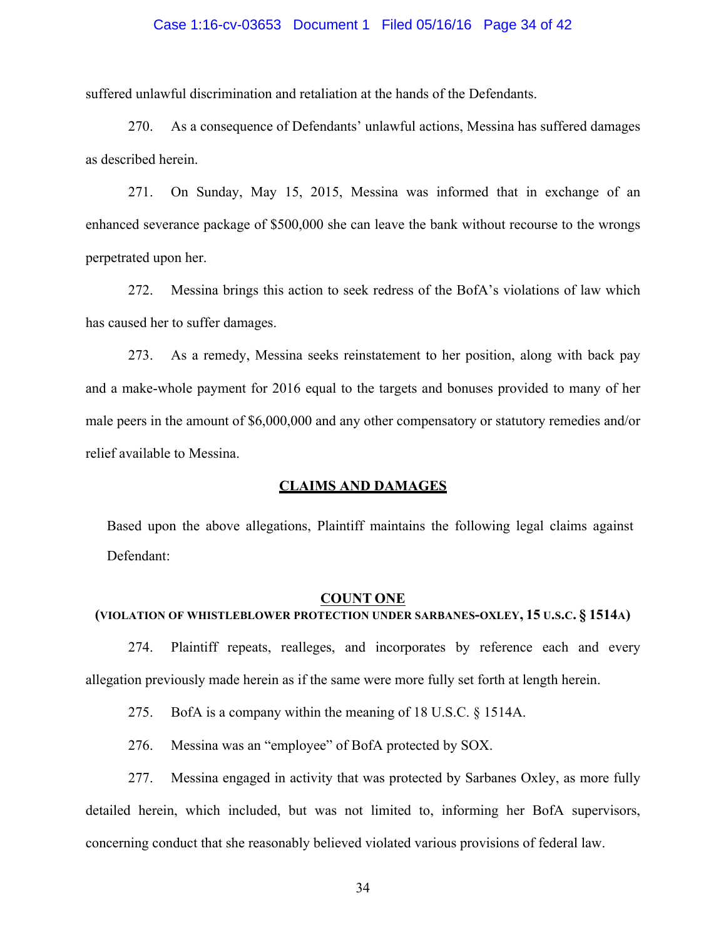### Case 1:16-cv-03653 Document 1 Filed 05/16/16 Page 34 of 42

suffered unlawful discrimination and retaliation at the hands of the Defendants.

270. As a consequence of Defendants' unlawful actions, Messina has suffered damages as described herein.

271. On Sunday, May 15, 2015, Messina was informed that in exchange of an enhanced severance package of \$500,000 she can leave the bank without recourse to the wrongs perpetrated upon her.

272. Messina brings this action to seek redress of the BofA's violations of law which has caused her to suffer damages.

273. As a remedy, Messina seeks reinstatement to her position, along with back pay and a make-whole payment for 2016 equal to the targets and bonuses provided to many of her male peers in the amount of \$6,000,000 and any other compensatory or statutory remedies and/or relief available to Messina.

### **CLAIMS AND DAMAGES**

Based upon the above allegations, Plaintiff maintains the following legal claims against Defendant:

#### **COUNT ONE**

# **(VIOLATION OF WHISTLEBLOWER PROTECTION UNDER SARBANES-OXLEY, 15 U.S.C. § 1514A)**

274. Plaintiff repeats, realleges, and incorporates by reference each and every allegation previously made herein as if the same were more fully set forth at length herein.

275. BofA is a company within the meaning of 18 U.S.C. § 1514A.

276. Messina was an "employee" of BofA protected by SOX.

277. Messina engaged in activity that was protected by Sarbanes Oxley, as more fully detailed herein, which included, but was not limited to, informing her BofA supervisors, concerning conduct that she reasonably believed violated various provisions of federal law.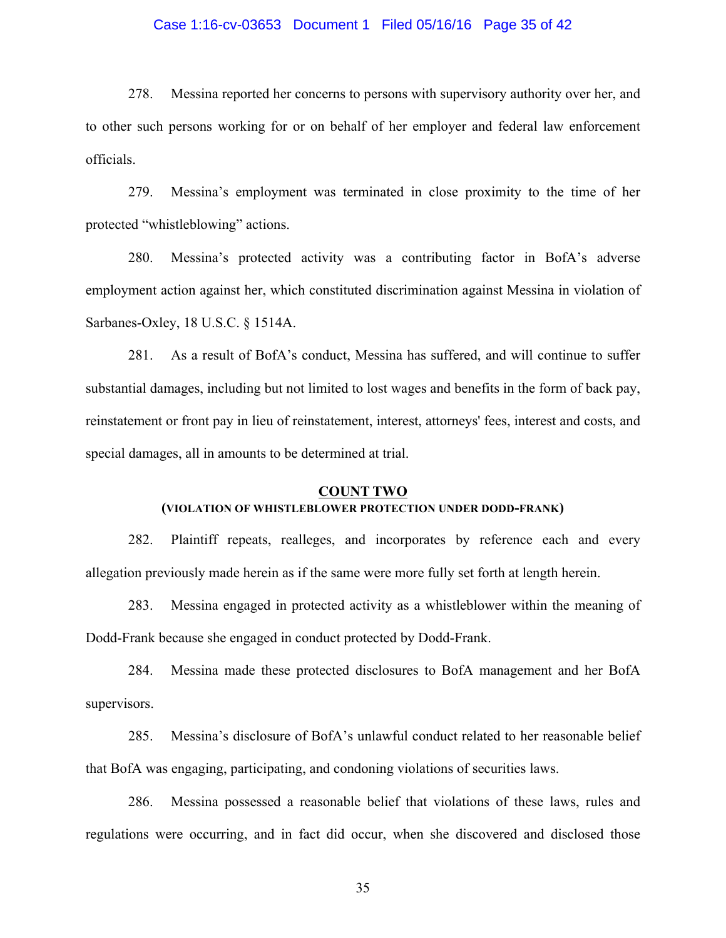### Case 1:16-cv-03653 Document 1 Filed 05/16/16 Page 35 of 42

278. Messina reported her concerns to persons with supervisory authority over her, and to other such persons working for or on behalf of her employer and federal law enforcement officials.

279. Messina's employment was terminated in close proximity to the time of her protected "whistleblowing" actions.

280. Messina's protected activity was a contributing factor in BofA's adverse employment action against her, which constituted discrimination against Messina in violation of Sarbanes-Oxley, 18 U.S.C. § 1514A.

281. As a result of BofA's conduct, Messina has suffered, and will continue to suffer substantial damages, including but not limited to lost wages and benefits in the form of back pay, reinstatement or front pay in lieu of reinstatement, interest, attorneys' fees, interest and costs, and special damages, all in amounts to be determined at trial.

# **COUNT TWO (VIOLATION OF WHISTLEBLOWER PROTECTION UNDER DODD-FRANK)**

282. Plaintiff repeats, realleges, and incorporates by reference each and every allegation previously made herein as if the same were more fully set forth at length herein.

283. Messina engaged in protected activity as a whistleblower within the meaning of Dodd-Frank because she engaged in conduct protected by Dodd-Frank.

284. Messina made these protected disclosures to BofA management and her BofA supervisors.

285. Messina's disclosure of BofA's unlawful conduct related to her reasonable belief that BofA was engaging, participating, and condoning violations of securities laws.

286. Messina possessed a reasonable belief that violations of these laws, rules and regulations were occurring, and in fact did occur, when she discovered and disclosed those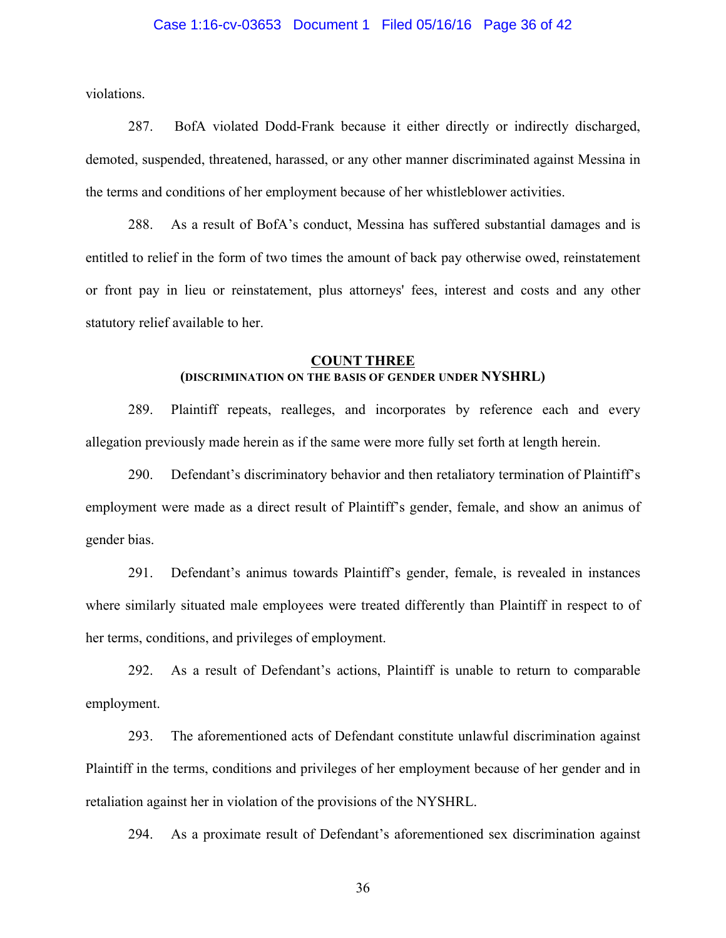### Case 1:16-cv-03653 Document 1 Filed 05/16/16 Page 36 of 42

violations.

287. BofA violated Dodd-Frank because it either directly or indirectly discharged, demoted, suspended, threatened, harassed, or any other manner discriminated against Messina in the terms and conditions of her employment because of her whistleblower activities.

288. As a result of BofA's conduct, Messina has suffered substantial damages and is entitled to relief in the form of two times the amount of back pay otherwise owed, reinstatement or front pay in lieu or reinstatement, plus attorneys' fees, interest and costs and any other statutory relief available to her.

#### **COUNT THREE**

### **(DISCRIMINATION ON THE BASIS OF GENDER UNDER NYSHRL)**

289. Plaintiff repeats, realleges, and incorporates by reference each and every allegation previously made herein as if the same were more fully set forth at length herein.

290. Defendant's discriminatory behavior and then retaliatory termination of Plaintiff's employment were made as a direct result of Plaintiff's gender, female, and show an animus of gender bias.

291. Defendant's animus towards Plaintiff's gender, female, is revealed in instances where similarly situated male employees were treated differently than Plaintiff in respect to of her terms, conditions, and privileges of employment.

292. As a result of Defendant's actions, Plaintiff is unable to return to comparable employment.

293. The aforementioned acts of Defendant constitute unlawful discrimination against Plaintiff in the terms, conditions and privileges of her employment because of her gender and in retaliation against her in violation of the provisions of the NYSHRL.

294. As a proximate result of Defendant's aforementioned sex discrimination against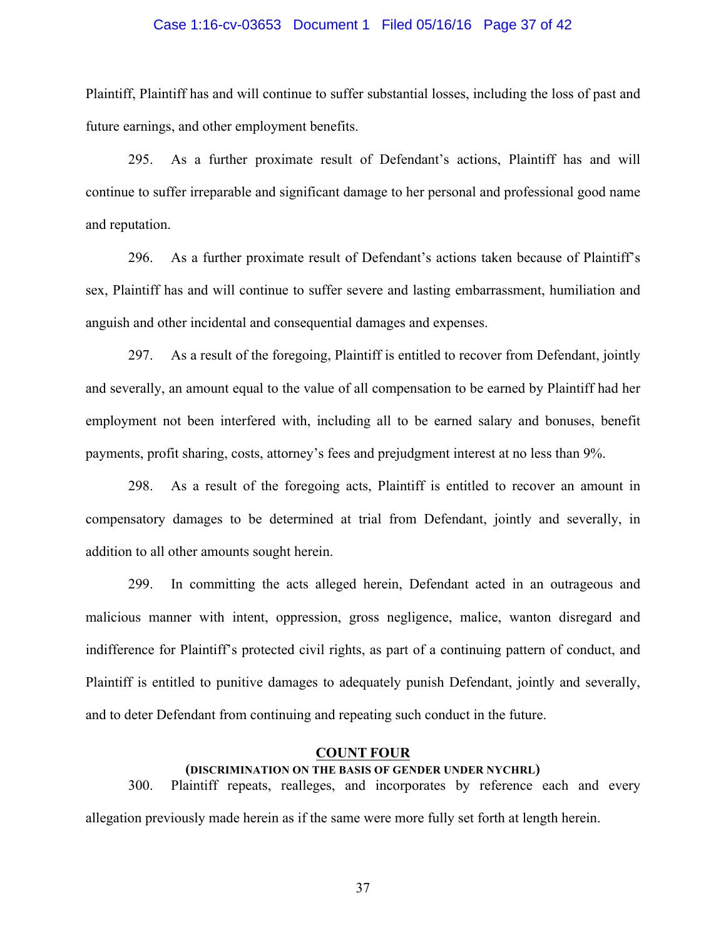### Case 1:16-cv-03653 Document 1 Filed 05/16/16 Page 37 of 42

Plaintiff, Plaintiff has and will continue to suffer substantial losses, including the loss of past and future earnings, and other employment benefits.

295. As a further proximate result of Defendant's actions, Plaintiff has and will continue to suffer irreparable and significant damage to her personal and professional good name and reputation.

296. As a further proximate result of Defendant's actions taken because of Plaintiff's sex, Plaintiff has and will continue to suffer severe and lasting embarrassment, humiliation and anguish and other incidental and consequential damages and expenses.

297. As a result of the foregoing, Plaintiff is entitled to recover from Defendant, jointly and severally, an amount equal to the value of all compensation to be earned by Plaintiff had her employment not been interfered with, including all to be earned salary and bonuses, benefit payments, profit sharing, costs, attorney's fees and prejudgment interest at no less than 9%.

298. As a result of the foregoing acts, Plaintiff is entitled to recover an amount in compensatory damages to be determined at trial from Defendant, jointly and severally, in addition to all other amounts sought herein.

299. In committing the acts alleged herein, Defendant acted in an outrageous and malicious manner with intent, oppression, gross negligence, malice, wanton disregard and indifference for Plaintiff's protected civil rights, as part of a continuing pattern of conduct, and Plaintiff is entitled to punitive damages to adequately punish Defendant, jointly and severally, and to deter Defendant from continuing and repeating such conduct in the future.

### **COUNT FOUR**

## **(DISCRIMINATION ON THE BASIS OF GENDER UNDER NYCHRL)**

300. Plaintiff repeats, realleges, and incorporates by reference each and every allegation previously made herein as if the same were more fully set forth at length herein.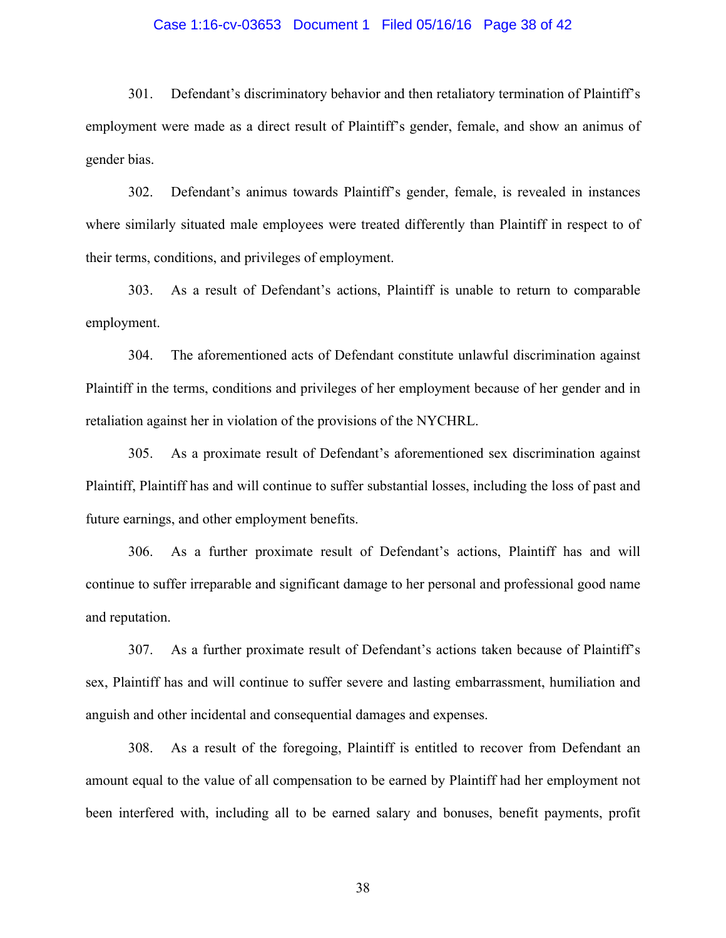### Case 1:16-cv-03653 Document 1 Filed 05/16/16 Page 38 of 42

301. Defendant's discriminatory behavior and then retaliatory termination of Plaintiff's employment were made as a direct result of Plaintiff's gender, female, and show an animus of gender bias.

302. Defendant's animus towards Plaintiff's gender, female, is revealed in instances where similarly situated male employees were treated differently than Plaintiff in respect to of their terms, conditions, and privileges of employment.

303. As a result of Defendant's actions, Plaintiff is unable to return to comparable employment.

304. The aforementioned acts of Defendant constitute unlawful discrimination against Plaintiff in the terms, conditions and privileges of her employment because of her gender and in retaliation against her in violation of the provisions of the NYCHRL.

305. As a proximate result of Defendant's aforementioned sex discrimination against Plaintiff, Plaintiff has and will continue to suffer substantial losses, including the loss of past and future earnings, and other employment benefits.

306. As a further proximate result of Defendant's actions, Plaintiff has and will continue to suffer irreparable and significant damage to her personal and professional good name and reputation.

307. As a further proximate result of Defendant's actions taken because of Plaintiff's sex, Plaintiff has and will continue to suffer severe and lasting embarrassment, humiliation and anguish and other incidental and consequential damages and expenses.

308. As a result of the foregoing, Plaintiff is entitled to recover from Defendant an amount equal to the value of all compensation to be earned by Plaintiff had her employment not been interfered with, including all to be earned salary and bonuses, benefit payments, profit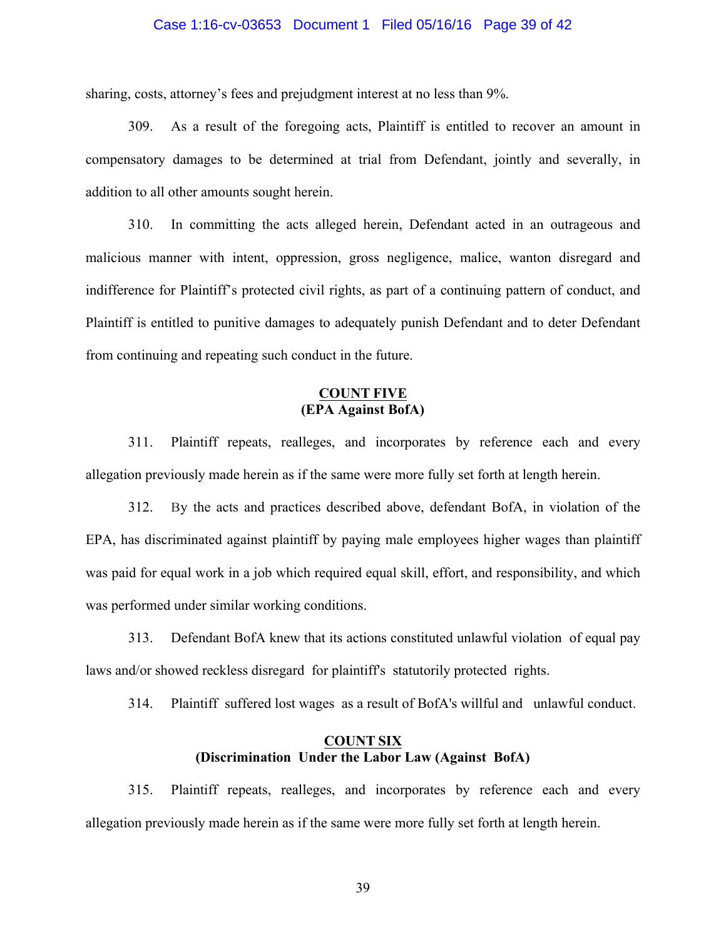### Case 1:16-cv-03653 Document 1 Filed 05/16/16 Page 39 of 42

sharing, costs, attorney's fees and prejudgment interest at no less than 9%.

309. As a result of the foregoing acts, Plaintiff is entitled to recover an amount in compensatory damages to be determined at trial from Defendant, jointly and severally, in addition to all other amounts sought herein.

310. In committing the acts alleged herein, Defendant acted in an outrageous and malicious manner with intent, oppression, gross negligence, malice, wanton disregard and indifference for Plaintiff's protected civil rights, as part of a continuing pattern of conduct, and Plaintiff is entitled to punitive damages to adequately punish Defendant and to deter Defendant from continuing and repeating such conduct in the future.

## **COUNT FIVE (EPA Against BofA)**

311. Plaintiff repeats, realleges, and incorporates by reference each and every allegation previously made herein as if the same were more fully set forth at length herein.

312. By the acts and practices described above, defendant BofA, in violation of the EPA, has discriminated against plaintiff by paying male employees higher wages than plaintiff was paid for equal work in a job which required equal skill, effort, and responsibility, and which was performed under similar working conditions.

313. Defendant BofA knew that its actions constituted unlawful violation of equal pay laws and/or showed reckless disregard for plaintiff's statutorily protected rights.

314. Plaintiff suffered lost wages as a result of BofA's willful and unlawful conduct.

## **COUNT SIX (Discrimination Under the Labor Law (Against BofA)**

315. Plaintiff repeats, realleges, and incorporates by reference each and every allegation previously made herein as if the same were more fully set forth at length herein.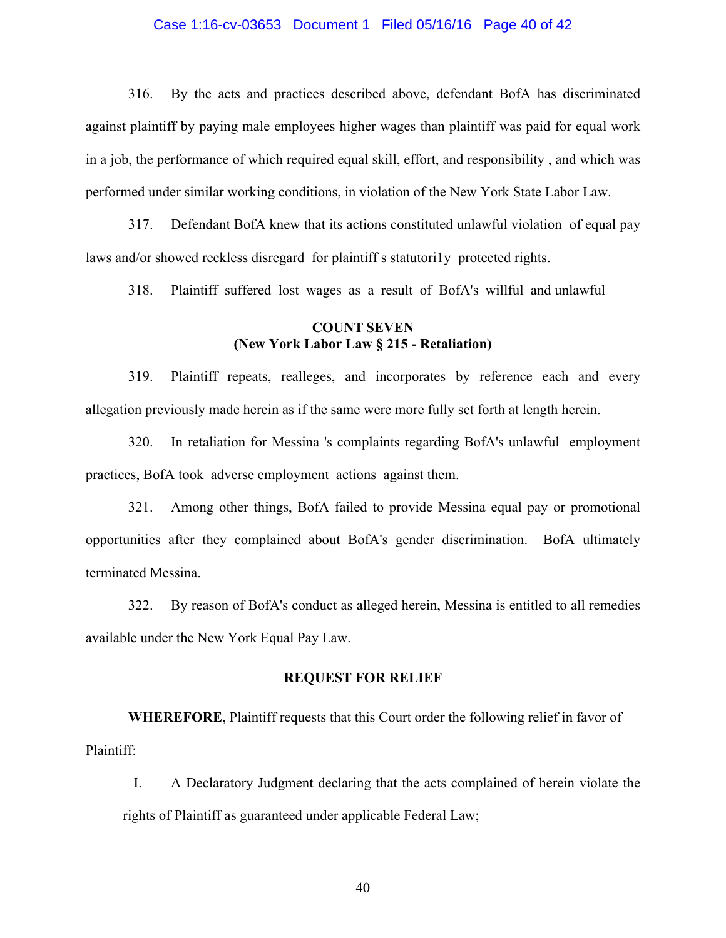### Case 1:16-cv-03653 Document 1 Filed 05/16/16 Page 40 of 42

316. By the acts and practices described above, defendant BofA has discriminated against plaintiff by paying male employees higher wages than plaintiff was paid for equal work in a job, the performance of which required equal skill, effort, and responsibility , and which was performed under similar working conditions, in violation of the New York State Labor Law.

317. Defendant BofA knew that its actions constituted unlawful violation of equal pay laws and/or showed reckless disregard for plaintiff s statutori1y protected rights.

318. Plaintiff suffered lost wages as a result of BofA's willful and unlawful

## **COUNT SEVEN (New York Labor Law § 215 - Retaliation)**

319. Plaintiff repeats, realleges, and incorporates by reference each and every allegation previously made herein as if the same were more fully set forth at length herein.

320. In retaliation for Messina 's complaints regarding BofA's unlawful employment practices, BofA took adverse employment actions against them.

321. Among other things, BofA failed to provide Messina equal pay or promotional opportunities after they complained about BofA's gender discrimination. BofA ultimately terminated Messina.

322. By reason of BofA's conduct as alleged herein, Messina is entitled to all remedies available under the New York Equal Pay Law.

### **REQUEST FOR RELIEF**

**WHEREFORE**, Plaintiff requests that this Court order the following relief in favor of Plaintiff:

I. A Declaratory Judgment declaring that the acts complained of herein violate the rights of Plaintiff as guaranteed under applicable Federal Law;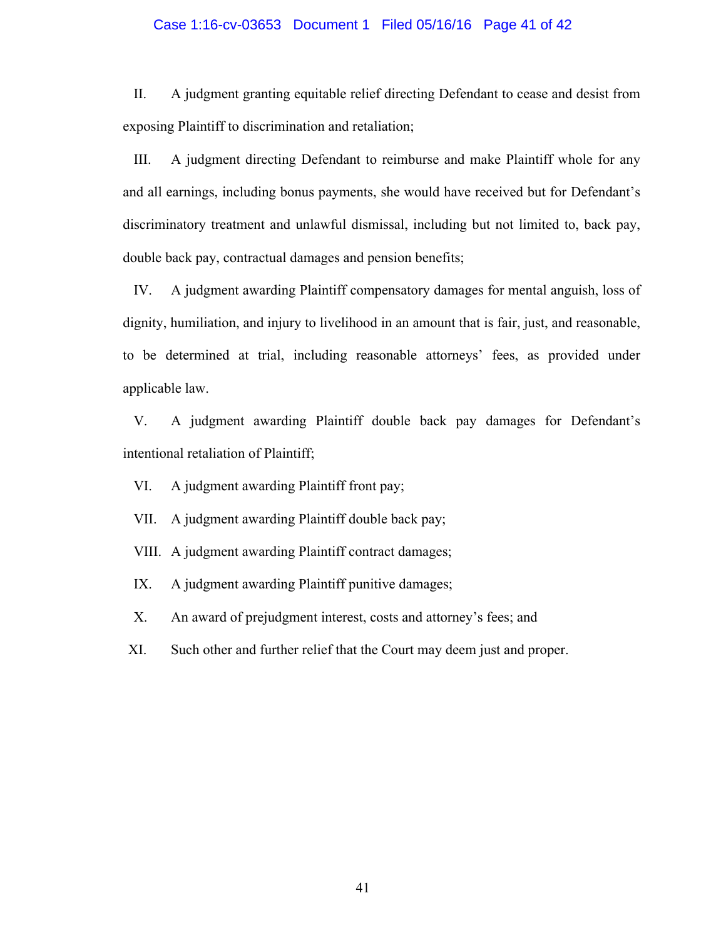### Case 1:16-cv-03653 Document 1 Filed 05/16/16 Page 41 of 42

II. A judgment granting equitable relief directing Defendant to cease and desist from exposing Plaintiff to discrimination and retaliation;

III. A judgment directing Defendant to reimburse and make Plaintiff whole for any and all earnings, including bonus payments, she would have received but for Defendant's discriminatory treatment and unlawful dismissal, including but not limited to, back pay, double back pay, contractual damages and pension benefits;

IV. A judgment awarding Plaintiff compensatory damages for mental anguish, loss of dignity, humiliation, and injury to livelihood in an amount that is fair, just, and reasonable, to be determined at trial, including reasonable attorneys' fees, as provided under applicable law.

V. A judgment awarding Plaintiff double back pay damages for Defendant's intentional retaliation of Plaintiff;

VI. A judgment awarding Plaintiff front pay;

VII. A judgment awarding Plaintiff double back pay;

VIII. A judgment awarding Plaintiff contract damages;

IX. A judgment awarding Plaintiff punitive damages;

X. An award of prejudgment interest, costs and attorney's fees; and

XI. Such other and further relief that the Court may deem just and proper.